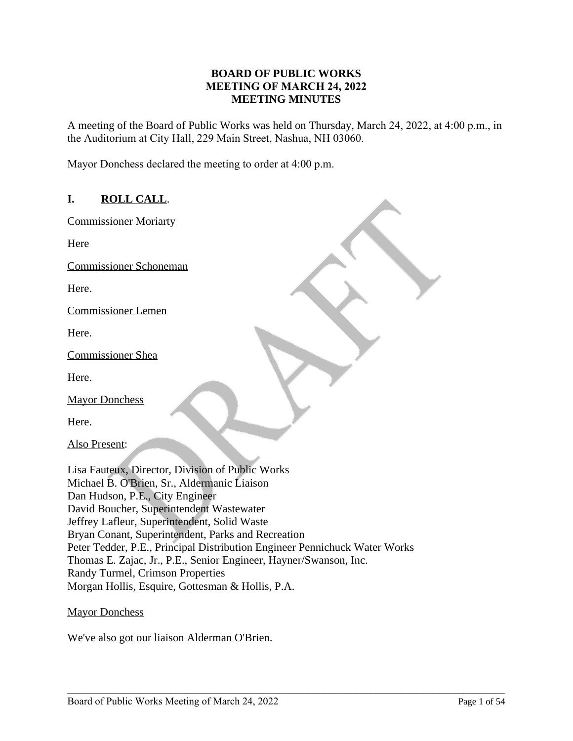## **BOARD OF PUBLIC WORKS MEETING OF MARCH 24, 2022 MEETING MINUTES**

A meeting of the Board of Public Works was held on Thursday, March 24, 2022, at 4:00 p.m., in the Auditorium at City Hall, 229 Main Street, Nashua, NH 03060.

Mayor Donchess declared the meeting to order at 4:00 p.m.

# **I. ROLL CALL**.

Commissioner Moriarty

Here

Commissioner Schoneman

Here.

Commissioner Lemen

Here.

Commissioner Shea

Here.

Mayor Donchess

| Here.                                                                      |
|----------------------------------------------------------------------------|
| Also Present:                                                              |
|                                                                            |
| Lisa Fauteux, Director, Division of Public Works                           |
| Michael B. O'Brien, Sr., Aldermanic Liaison                                |
| Dan Hudson, P.E., City Engineer                                            |
| David Boucher, Superintendent Wastewater                                   |
| Jeffrey Lafleur, Superintendent, Solid Waste                               |
| Bryan Conant, Superintendent, Parks and Recreation                         |
| Peter Tedder, P.E., Principal Distribution Engineer Pennichuck Water Works |
| Thomas E. Zajac, Jr., P.E., Senior Engineer, Hayner/Swanson, Inc.          |
| Randy Turmel, Crimson Properties                                           |
| Morgan Hollis, Esquire, Gottesman & Hollis, P.A.                           |

\_\_\_\_\_\_\_\_\_\_\_\_\_\_\_\_\_\_\_\_\_\_\_\_\_\_\_\_\_\_\_\_\_\_\_\_\_\_\_\_\_\_\_\_\_\_\_\_\_\_\_\_\_\_\_\_\_\_\_\_\_\_\_\_\_\_\_\_\_\_\_\_\_\_\_\_\_\_\_\_\_\_\_\_\_

### Mayor Donchess

We've also got our liaison Alderman O'Brien.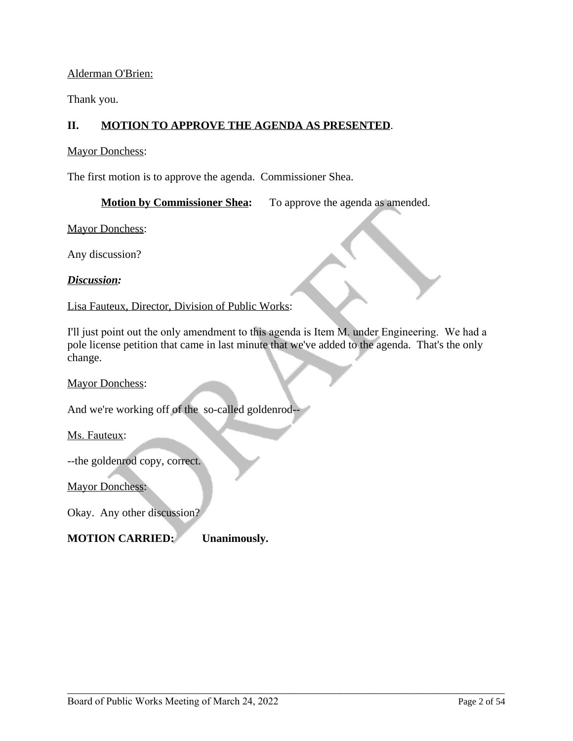### Alderman O'Brien:

Thank you.

# **II. MOTION TO APPROVE THE AGENDA AS PRESENTED**.

Mayor Donchess:

The first motion is to approve the agenda. Commissioner Shea.

**Motion by Commissioner Shea:** To approve the agenda as amended.

Mayor Donchess:

Any discussion?

### *Discussion:*

Lisa Fauteux, Director, Division of Public Works:

I'll just point out the only amendment to this agenda is Item M. under Engineering. We had a pole license petition that came in last minute that we've added to the agenda. That's the only change.

\_\_\_\_\_\_\_\_\_\_\_\_\_\_\_\_\_\_\_\_\_\_\_\_\_\_\_\_\_\_\_\_\_\_\_\_\_\_\_\_\_\_\_\_\_\_\_\_\_\_\_\_\_\_\_\_\_\_\_\_\_\_\_\_\_\_\_\_\_\_\_\_\_\_\_\_\_\_\_\_\_\_\_\_\_

Mayor Donchess:

And we're working off of the so-called goldenrod--

Ms. Fauteux:

--the goldenrod copy, correct.

Mayor Donchess:

Okay. Any other discussion?

# **MOTION CARRIED: Unanimously.**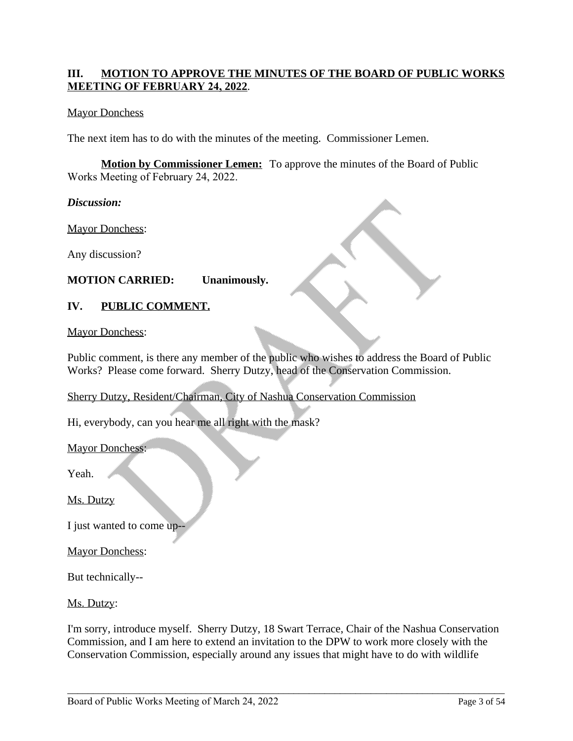# **III. MOTION TO APPROVE THE MINUTES OF THE BOARD OF PUBLIC WORKS MEETING OF FEBRUARY 24, 2022**.

### Mayor Donchess

The next item has to do with the minutes of the meeting. Commissioner Lemen.

**Motion by Commissioner Lemen:** To approve the minutes of the Board of Public Works Meeting of February 24, 2022.

*Discussion:*

Mayor Donchess:

Any discussion?

# **MOTION CARRIED: Unanimously.**

## **IV. PUBLIC COMMENT.**

Mayor Donchess:

Public comment, is there any member of the public who wishes to address the Board of Public Works? Please come forward. Sherry Dutzy, head of the Conservation Commission.

Sherry Dutzy, Resident/Chairman, City of Nashua Conservation Commission

Hi, everybody, can you hear me all right with the mask?

Mayor Donchess:

Yeah.

Ms. Dutzy

I just wanted to come up--

Mayor Donchess:

But technically--

Ms. Dutzy:

I'm sorry, introduce myself. Sherry Dutzy, 18 Swart Terrace, Chair of the Nashua Conservation Commission, and I am here to extend an invitation to the DPW to work more closely with the Conservation Commission, especially around any issues that might have to do with wildlife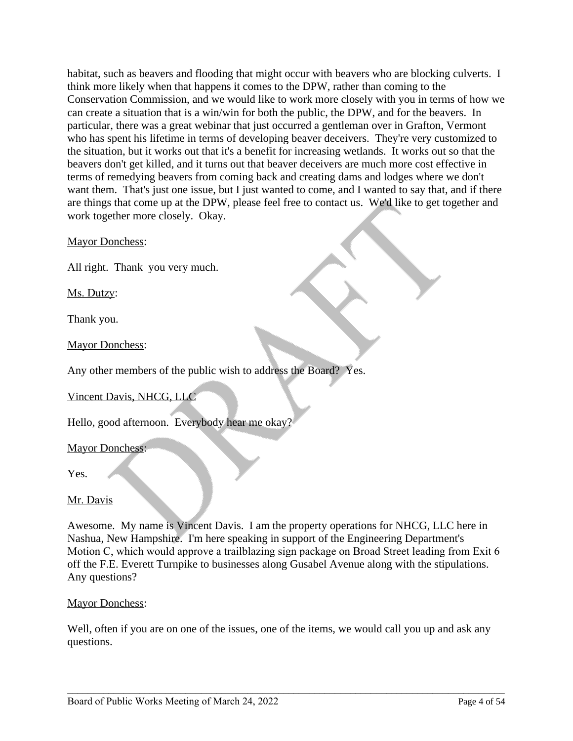habitat, such as beavers and flooding that might occur with beavers who are blocking culverts. I think more likely when that happens it comes to the DPW, rather than coming to the Conservation Commission, and we would like to work more closely with you in terms of how we can create a situation that is a win/win for both the public, the DPW, and for the beavers. In particular, there was a great webinar that just occurred a gentleman over in Grafton, Vermont who has spent his lifetime in terms of developing beaver deceivers. They're very customized to the situation, but it works out that it's a benefit for increasing wetlands. It works out so that the beavers don't get killed, and it turns out that beaver deceivers are much more cost effective in terms of remedying beavers from coming back and creating dams and lodges where we don't want them. That's just one issue, but I just wanted to come, and I wanted to say that, and if there are things that come up at the DPW, please feel free to contact us. We'd like to get together and work together more closely. Okay.

Mayor Donchess:

All right. Thank you very much.

Ms. Dutzy:

Thank you.

Mayor Donchess:

Any other members of the public wish to address the Board? Yes.

Vincent Davis, NHCG, LLC

Hello, good afternoon. Everybody hear me okay?

Mayor Donchess:

Yes.

# Mr. Davis

Awesome. My name is Vincent Davis. I am the property operations for NHCG, LLC here in Nashua, New Hampshire. I'm here speaking in support of the Engineering Department's Motion C, which would approve a trailblazing sign package on Broad Street leading from Exit 6 off the F.E. Everett Turnpike to businesses along Gusabel Avenue along with the stipulations. Any questions?

### Mayor Donchess:

Well, often if you are on one of the issues, one of the items, we would call you up and ask any questions.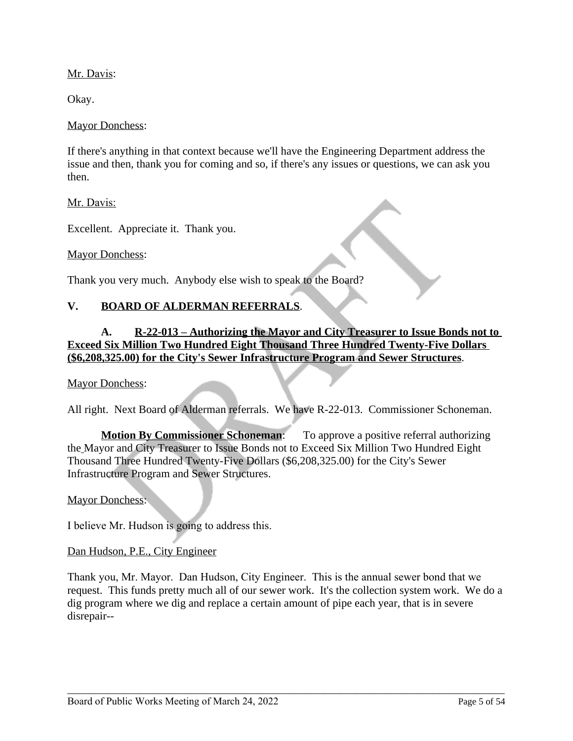Mr. Davis:

Okay.

#### Mayor Donchess:

If there's anything in that context because we'll have the Engineering Department address the issue and then, thank you for coming and so, if there's any issues or questions, we can ask you then.

Mr. Davis:

Excellent. Appreciate it. Thank you.

Mayor Donchess:

Thank you very much. Anybody else wish to speak to the Board?

## **V. BOARD OF ALDERMAN REFERRALS**.

# **A. R-22-013 – Authorizing the Mayor and City Treasurer to Issue Bonds not to Exceed Six Million Two Hundred Eight Thousand Three Hundred Twenty-Five Dollars (\$6,208,325.00) for the City's Sewer Infrastructure Program and Sewer Structures**.

#### Mayor Donchess:

All right. Next Board of Alderman referrals. We have R-22-013. Commissioner Schoneman.

**Motion By Commissioner Schoneman:** To approve a positive referral authorizing the Mayor and City Treasurer to Issue Bonds not to Exceed Six Million Two Hundred Eight Thousand Three Hundred Twenty-Five Dollars (\$6,208,325.00) for the City's Sewer Infrastructure Program and Sewer Structures.

Mayor Donchess:

I believe Mr. Hudson is going to address this.

#### Dan Hudson, P.E., City Engineer

Thank you, Mr. Mayor. Dan Hudson, City Engineer. This is the annual sewer bond that we request. This funds pretty much all of our sewer work. It's the collection system work. We do a dig program where we dig and replace a certain amount of pipe each year, that is in severe disrepair--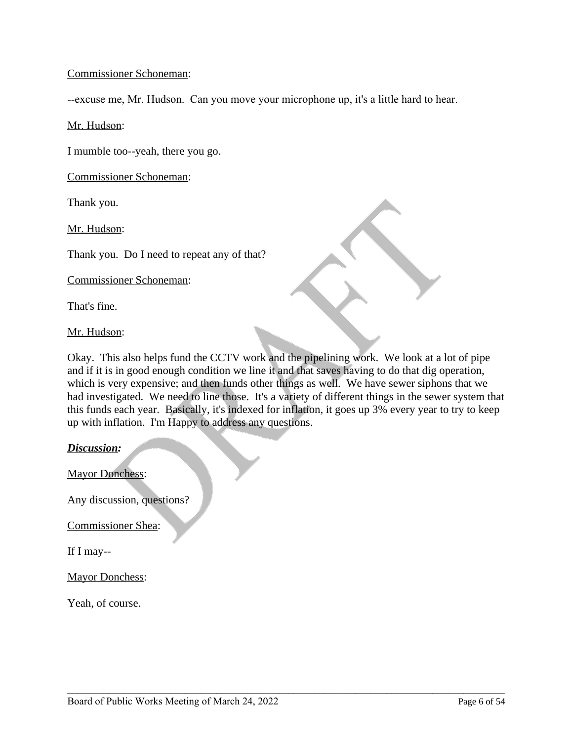### Commissioner Schoneman:

--excuse me, Mr. Hudson. Can you move your microphone up, it's a little hard to hear.

Mr. Hudson:

I mumble too--yeah, there you go.

Commissioner Schoneman:

Thank you.

Mr. Hudson:

Thank you. Do I need to repeat any of that?

Commissioner Schoneman:

That's fine.

Mr. Hudson:

Okay. This also helps fund the CCTV work and the pipelining work. We look at a lot of pipe and if it is in good enough condition we line it and that saves having to do that dig operation, which is very expensive; and then funds other things as well. We have sewer siphons that we had investigated. We need to line those. It's a variety of different things in the sewer system that this funds each year. Basically, it's indexed for inflation, it goes up 3% every year to try to keep up with inflation. I'm Happy to address any questions.

*Discussion:*

Mayor Donchess:

Any discussion, questions?

Commissioner Shea:

If I may--

Mayor Donchess:

Yeah, of course.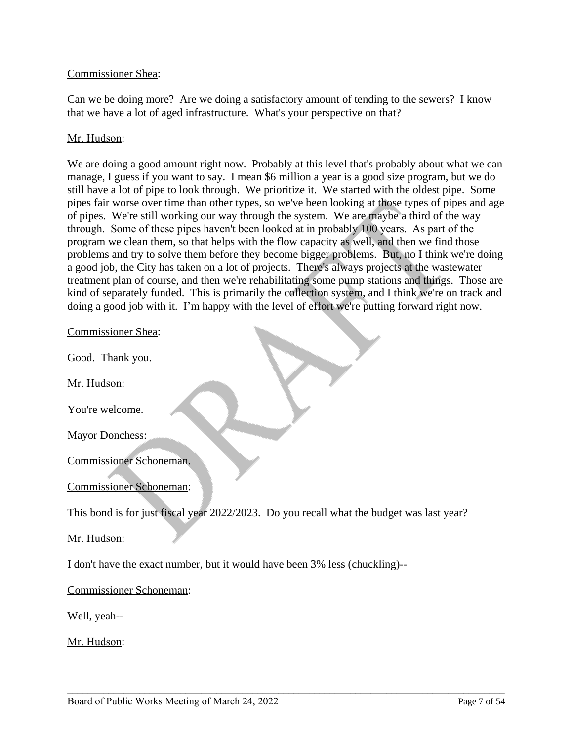### Commissioner Shea:

Can we be doing more? Are we doing a satisfactory amount of tending to the sewers? I know that we have a lot of aged infrastructure. What's your perspective on that?

## Mr. Hudson:

We are doing a good amount right now. Probably at this level that's probably about what we can manage, I guess if you want to say. I mean \$6 million a year is a good size program, but we do still have a lot of pipe to look through. We prioritize it. We started with the oldest pipe. Some pipes fair worse over time than other types, so we've been looking at those types of pipes and age of pipes. We're still working our way through the system. We are maybe a third of the way through. Some of these pipes haven't been looked at in probably 100 years. As part of the program we clean them, so that helps with the flow capacity as well, and then we find those problems and try to solve them before they become bigger problems. But, no I think we're doing a good job, the City has taken on a lot of projects. There's always projects at the wastewater treatment plan of course, and then we're rehabilitating some pump stations and things. Those are kind of separately funded. This is primarily the collection system, and I think we're on track and doing a good job with it. I'm happy with the level of effort we're putting forward right now.

#### Commissioner Shea:

Good. Thank you.

Mr. Hudson:

You're welcome.

Mayor Donchess:

Commissioner Schoneman.

### Commissioner Schoneman:

This bond is for just fiscal year 2022/2023. Do you recall what the budget was last year?

\_\_\_\_\_\_\_\_\_\_\_\_\_\_\_\_\_\_\_\_\_\_\_\_\_\_\_\_\_\_\_\_\_\_\_\_\_\_\_\_\_\_\_\_\_\_\_\_\_\_\_\_\_\_\_\_\_\_\_\_\_\_\_\_\_\_\_\_\_\_\_\_\_\_\_\_\_\_\_\_\_\_\_\_\_

### Mr. Hudson:

I don't have the exact number, but it would have been 3% less (chuckling)--

### Commissioner Schoneman:

Well, yeah--

Mr. Hudson: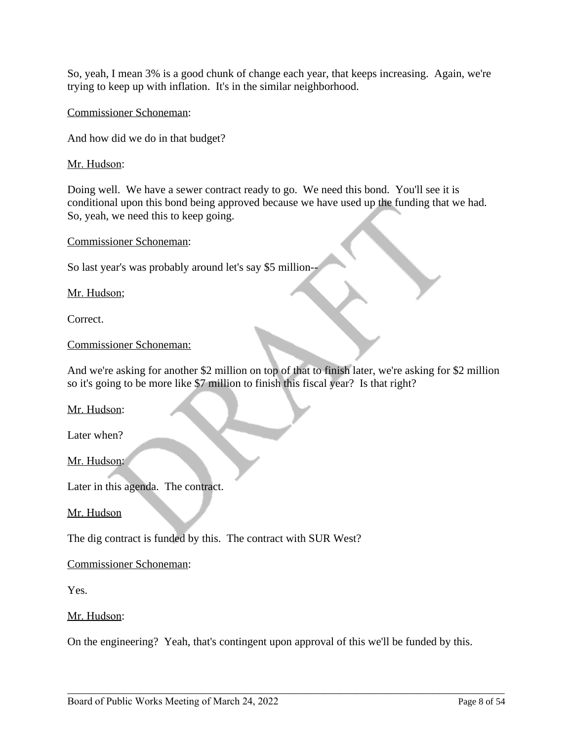So, yeah, I mean 3% is a good chunk of change each year, that keeps increasing. Again, we're trying to keep up with inflation. It's in the similar neighborhood.

Commissioner Schoneman:

And how did we do in that budget?

Mr. Hudson:

Doing well. We have a sewer contract ready to go. We need this bond. You'll see it is conditional upon this bond being approved because we have used up the funding that we had. So, yeah, we need this to keep going.

Commissioner Schoneman:

So last year's was probably around let's say \$5 million--

Mr. Hudson;

Correct.

Commissioner Schoneman:

And we're asking for another \$2 million on top of that to finish later, we're asking for \$2 million so it's going to be more like \$7 million to finish this fiscal year? Is that right?

Mr. Hudson:

Later when?

Mr. Hudson:

Later in this agenda. The contract.

Mr. Hudson

The dig contract is funded by this. The contract with SUR West?

Commissioner Schoneman:

Yes.

Mr. Hudson:

On the engineering? Yeah, that's contingent upon approval of this we'll be funded by this.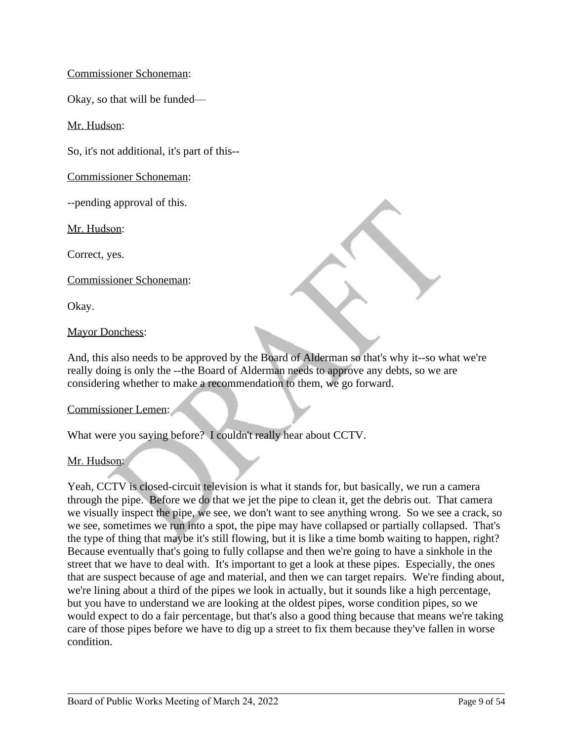# Commissioner Schoneman:

Okay, so that will be funded—

Mr. Hudson:

So, it's not additional, it's part of this--

Commissioner Schoneman:

--pending approval of this.

Mr. Hudson:

Correct, yes.

Commissioner Schoneman:

Okay.

#### Mayor Donchess:

And, this also needs to be approved by the Board of Alderman so that's why it--so what we're really doing is only the --the Board of Alderman needs to approve any debts, so we are considering whether to make a recommendation to them, we go forward.

#### Commissioner Lemen:

What were you saying before? I couldn't really hear about CCTV.

### Mr. Hudson:

Yeah, CCTV is closed-circuit television is what it stands for, but basically, we run a camera through the pipe. Before we do that we jet the pipe to clean it, get the debris out. That camera we visually inspect the pipe, we see, we don't want to see anything wrong. So we see a crack, so we see, sometimes we run into a spot, the pipe may have collapsed or partially collapsed. That's the type of thing that maybe it's still flowing, but it is like a time bomb waiting to happen, right? Because eventually that's going to fully collapse and then we're going to have a sinkhole in the street that we have to deal with. It's important to get a look at these pipes. Especially, the ones that are suspect because of age and material, and then we can target repairs. We're finding about, we're lining about a third of the pipes we look in actually, but it sounds like a high percentage, but you have to understand we are looking at the oldest pipes, worse condition pipes, so we would expect to do a fair percentage, but that's also a good thing because that means we're taking care of those pipes before we have to dig up a street to fix them because they've fallen in worse condition.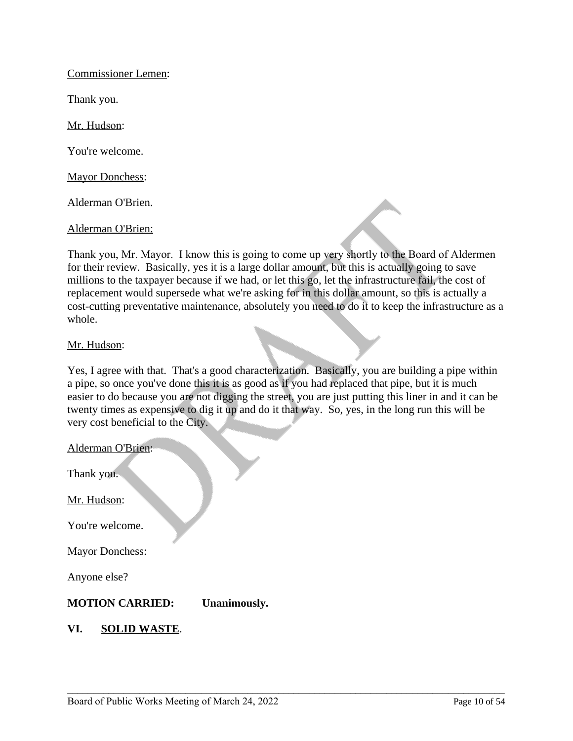Commissioner Lemen:

Thank you.

Mr. Hudson:

You're welcome.

Mayor Donchess:

Alderman O'Brien.

Alderman O'Brien:

Thank you, Mr. Mayor. I know this is going to come up very shortly to the Board of Aldermen for their review. Basically, yes it is a large dollar amount, but this is actually going to save millions to the taxpayer because if we had, or let this go, let the infrastructure fail, the cost of replacement would supersede what we're asking for in this dollar amount, so this is actually a cost-cutting preventative maintenance, absolutely you need to do it to keep the infrastructure as a whole.

#### Mr. Hudson:

Yes, I agree with that. That's a good characterization. Basically, you are building a pipe within a pipe, so once you've done this it is as good as if you had replaced that pipe, but it is much easier to do because you are not digging the street, you are just putting this liner in and it can be twenty times as expensive to dig it up and do it that way. So, yes, in the long run this will be very cost beneficial to the City.

| <b>Alderman O'Brien:</b>   |              |
|----------------------------|--------------|
| Thank you.                 |              |
| Mr. Hudson:                |              |
| You're welcome.            |              |
| <b>Mayor Donchess:</b>     |              |
| Anyone else?               |              |
| <b>MOTION CARRIED:</b>     | Unanimously. |
| <b>SOLID WASTE.</b><br>VI. |              |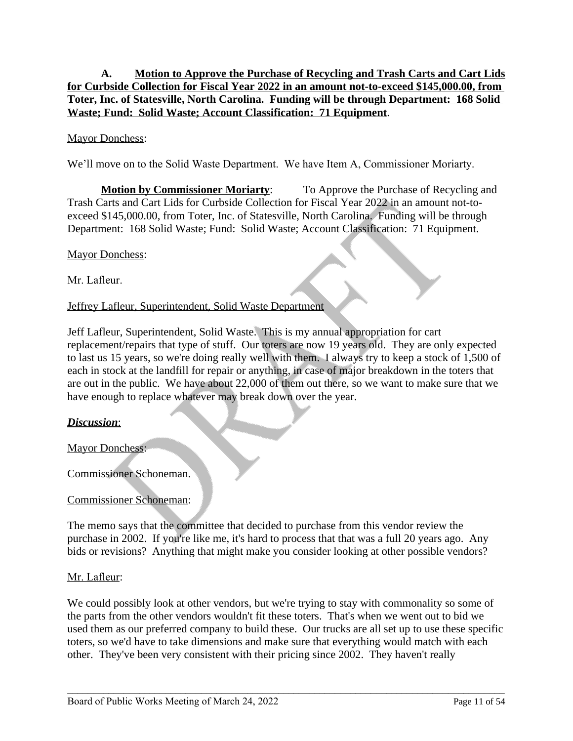# **A. Motion to Approve the Purchase of Recycling and Trash Carts and Cart Lids for Curbside Collection for Fiscal Year 2022 in an amount not-to-exceed \$145,000.00, from Toter, Inc. of Statesville, North Carolina. Funding will be through Department: 168 Solid Waste; Fund: Solid Waste; Account Classification: 71 Equipment**.

# Mayor Donchess:

We'll move on to the Solid Waste Department. We have Item A, Commissioner Moriarty.

**Motion by Commissioner Moriarty:** To Approve the Purchase of Recycling and Trash Carts and Cart Lids for Curbside Collection for Fiscal Year 2022 in an amount not-toexceed \$145,000.00, from Toter, Inc. of Statesville, North Carolina. Funding will be through Department: 168 Solid Waste; Fund: Solid Waste; Account Classification: 71 Equipment.

#### Mayor Donchess:

Mr. Lafleur.

### Jeffrey Lafleur, Superintendent, Solid Waste Department

Jeff Lafleur, Superintendent, Solid Waste. This is my annual appropriation for cart replacement/repairs that type of stuff. Our toters are now 19 years old. They are only expected to last us 15 years, so we're doing really well with them. I always try to keep a stock of 1,500 of each in stock at the landfill for repair or anything, in case of major breakdown in the toters that are out in the public. We have about 22,000 of them out there, so we want to make sure that we have enough to replace whatever may break down over the year.

### *Discussion*:

Mayor Donchess:

Commissioner Schoneman.

### Commissioner Schoneman:

The memo says that the committee that decided to purchase from this vendor review the purchase in 2002. If you're like me, it's hard to process that that was a full 20 years ago. Any bids or revisions? Anything that might make you consider looking at other possible vendors?

### Mr. Lafleur:

We could possibly look at other vendors, but we're trying to stay with commonality so some of the parts from the other vendors wouldn't fit these toters. That's when we went out to bid we used them as our preferred company to build these. Our trucks are all set up to use these specific toters, so we'd have to take dimensions and make sure that everything would match with each other. They've been very consistent with their pricing since 2002. They haven't really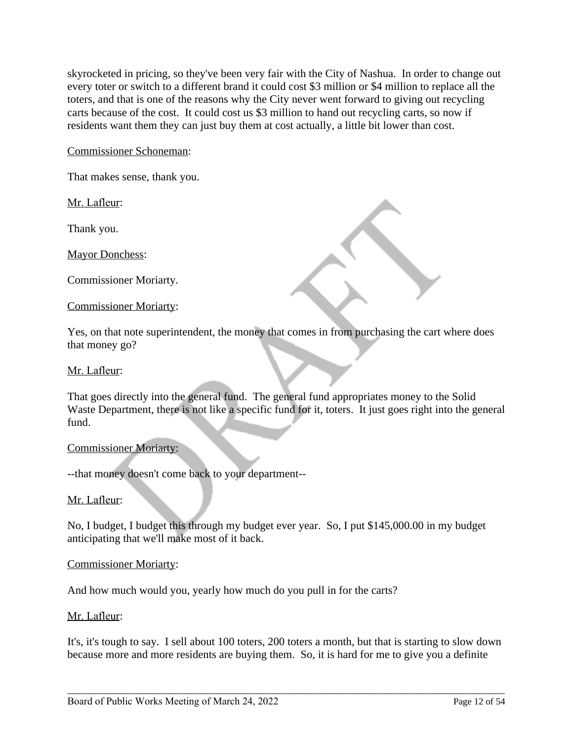skyrocketed in pricing, so they've been very fair with the City of Nashua. In order to change out every toter or switch to a different brand it could cost \$3 million or \$4 million to replace all the toters, and that is one of the reasons why the City never went forward to giving out recycling carts because of the cost. It could cost us \$3 million to hand out recycling carts, so now if residents want them they can just buy them at cost actually, a little bit lower than cost.

# Commissioner Schoneman:

That makes sense, thank you.

Mr. Lafleur:

Thank you.

Mayor Donchess:

Commissioner Moriarty.

#### Commissioner Moriarty:

Yes, on that note superintendent, the money that comes in from purchasing the cart where does that money go?

#### Mr. Lafleur:

That goes directly into the general fund. The general fund appropriates money to the Solid Waste Department, there is not like a specific fund for it, toters. It just goes right into the general fund.

#### Commissioner Moriarty:

--that money doesn't come back to your department--

### Mr. Lafleur:

No, I budget, I budget this through my budget ever year. So, I put \$145,000.00 in my budget anticipating that we'll make most of it back.

#### Commissioner Moriarty:

And how much would you, yearly how much do you pull in for the carts?

### Mr. Lafleur:

It's, it's tough to say. I sell about 100 toters, 200 toters a month, but that is starting to slow down because more and more residents are buying them. So, it is hard for me to give you a definite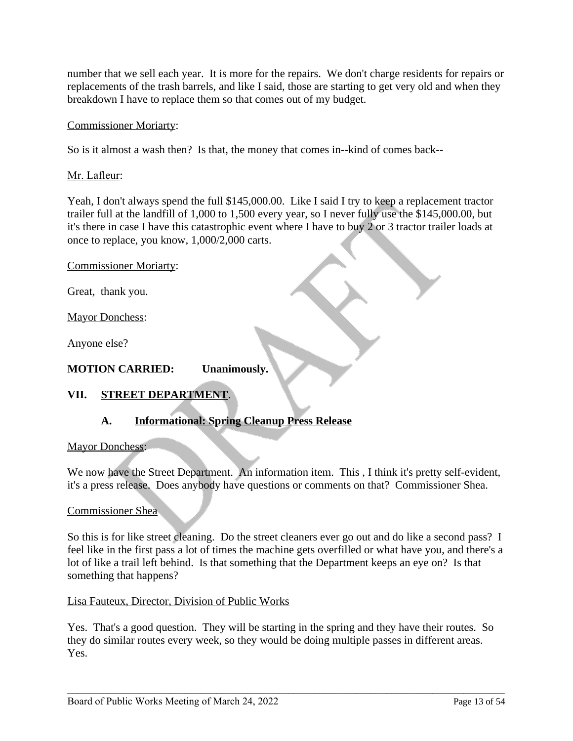number that we sell each year. It is more for the repairs. We don't charge residents for repairs or replacements of the trash barrels, and like I said, those are starting to get very old and when they breakdown I have to replace them so that comes out of my budget.

# Commissioner Moriarty:

So is it almost a wash then? Is that, the money that comes in--kind of comes back--

## Mr. Lafleur:

Yeah, I don't always spend the full \$145,000.00. Like I said I try to keep a replacement tractor trailer full at the landfill of 1,000 to 1,500 every year, so I never fully use the \$145,000.00, but it's there in case I have this catastrophic event where I have to buy 2 or 3 tractor trailer loads at once to replace, you know, 1,000/2,000 carts.

Commissioner Moriarty:

Great, thank you.

Mayor Donchess:

Anyone else?

### **MOTION CARRIED: Unanimously.**

# **VII. STREET DEPARTMENT**.

# **A. Informational: Spring Cleanup Press Release**

### Mayor Donchess:

We now have the Street Department. An information item. This , I think it's pretty self-evident, it's a press release. Does anybody have questions or comments on that? Commissioner Shea.

### Commissioner Shea

So this is for like street cleaning. Do the street cleaners ever go out and do like a second pass? I feel like in the first pass a lot of times the machine gets overfilled or what have you, and there's a lot of like a trail left behind. Is that something that the Department keeps an eye on? Is that something that happens?

### Lisa Fauteux, Director, Division of Public Works

Yes. That's a good question. They will be starting in the spring and they have their routes. So they do similar routes every week, so they would be doing multiple passes in different areas. Yes.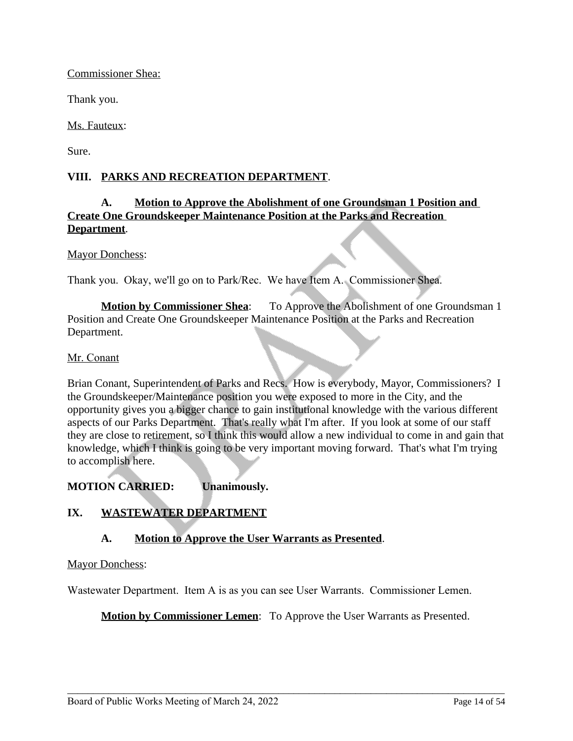### Commissioner Shea:

Thank you.

Ms. Fauteux:

Sure.

# **VIII. PARKS AND RECREATION DEPARTMENT**.

# **A. Motion to Approve the Abolishment of one Groundsman 1 Position and Create One Groundskeeper Maintenance Position at the Parks and Recreation Department**.

#### Mayor Donchess:

Thank you. Okay, we'll go on to Park/Rec. We have Item A. Commissioner Shea.

**Motion by Commissioner Shea**: To Approve the Abolishment of one Groundsman 1 Position and Create One Groundskeeper Maintenance Position at the Parks and Recreation Department.

#### Mr. Conant

Brian Conant, Superintendent of Parks and Recs. How is everybody, Mayor, Commissioners? I the Groundskeeper/Maintenance position you were exposed to more in the City, and the opportunity gives you a bigger chance to gain institutional knowledge with the various different aspects of our Parks Department. That's really what I'm after. If you look at some of our staff they are close to retirement, so I think this would allow a new individual to come in and gain that knowledge, which I think is going to be very important moving forward. That's what I'm trying to accomplish here.

**MOTION CARRIED: Unanimously.**

# **IX. WASTEWATER DEPARTMENT**

# **A. Motion to Approve the User Warrants as Presented**.

### Mayor Donchess:

Wastewater Department. Item A is as you can see User Warrants. Commissioner Lemen.

**Motion by Commissioner Lemen:** To Approve the User Warrants as Presented.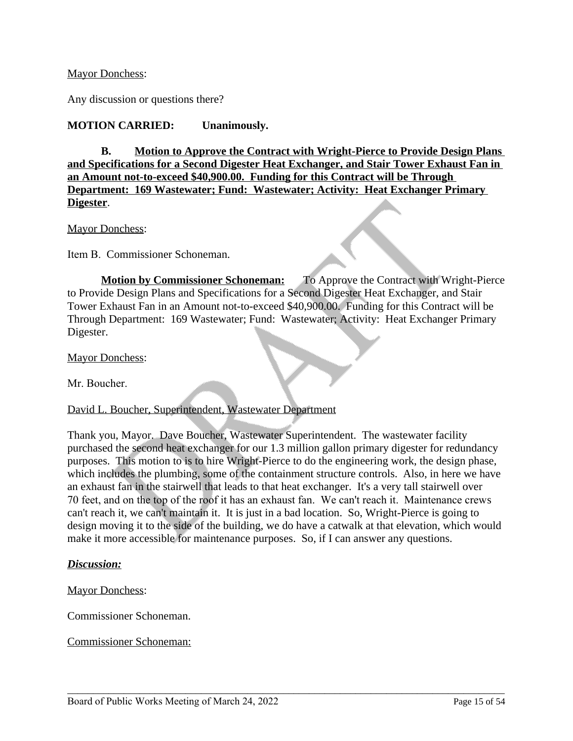### Mayor Donchess:

Any discussion or questions there?

## **MOTION CARRIED: Unanimously.**

**B. Motion to Approve the Contract with Wright-Pierce to Provide Design Plans and Specifications for a Second Digester Heat Exchanger, and Stair Tower Exhaust Fan in an Amount not-to-exceed \$40,900.00. Funding for this Contract will be Through Department: 169 Wastewater; Fund: Wastewater; Activity: Heat Exchanger Primary Digester**.

Mayor Donchess:

Item B. Commissioner Schoneman.

**Motion by Commissioner Schoneman:** To Approve the Contract with Wright-Pierce to Provide Design Plans and Specifications for a Second Digester Heat Exchanger, and Stair Tower Exhaust Fan in an Amount not-to-exceed \$40,900.00. Funding for this Contract will be Through Department: 169 Wastewater; Fund: Wastewater; Activity: Heat Exchanger Primary Digester.

Mayor Donchess:

Mr. Boucher.

### David L. Boucher, Superintendent, Wastewater Department

Thank you, Mayor. Dave Boucher, Wastewater Superintendent. The wastewater facility purchased the second heat exchanger for our 1.3 million gallon primary digester for redundancy purposes. This motion to is to hire Wright-Pierce to do the engineering work, the design phase, which includes the plumbing, some of the containment structure controls. Also, in here we have an exhaust fan in the stairwell that leads to that heat exchanger. It's a very tall stairwell over 70 feet, and on the top of the roof it has an exhaust fan. We can't reach it. Maintenance crews can't reach it, we can't maintain it. It is just in a bad location. So, Wright-Pierce is going to design moving it to the side of the building, we do have a catwalk at that elevation, which would make it more accessible for maintenance purposes. So, if I can answer any questions.

\_\_\_\_\_\_\_\_\_\_\_\_\_\_\_\_\_\_\_\_\_\_\_\_\_\_\_\_\_\_\_\_\_\_\_\_\_\_\_\_\_\_\_\_\_\_\_\_\_\_\_\_\_\_\_\_\_\_\_\_\_\_\_\_\_\_\_\_\_\_\_\_\_\_\_\_\_\_\_\_\_\_\_\_\_

#### *Discussion:*

Mayor Donchess:

Commissioner Schoneman.

Commissioner Schoneman: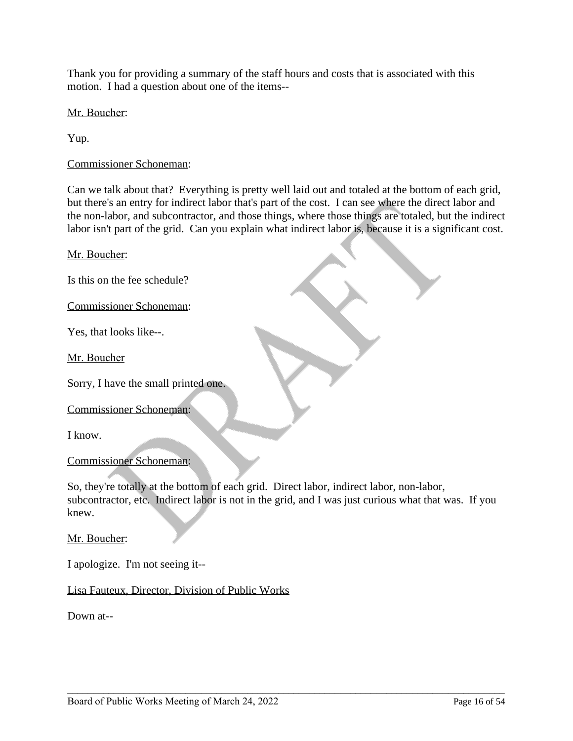Thank you for providing a summary of the staff hours and costs that is associated with this motion. I had a question about one of the items--

Mr. Boucher:

Yup.

Commissioner Schoneman:

Can we talk about that? Everything is pretty well laid out and totaled at the bottom of each grid, but there's an entry for indirect labor that's part of the cost. I can see where the direct labor and the non-labor, and subcontractor, and those things, where those things are totaled, but the indirect labor isn't part of the grid. Can you explain what indirect labor is, because it is a significant cost.

Mr. Boucher:

Is this on the fee schedule?

Commissioner Schoneman:

Yes, that looks like--.

Mr. Boucher

Sorry, I have the small printed one.

Commissioner Schoneman:

I know.

### Commissioner Schoneman:

So, they're totally at the bottom of each grid. Direct labor, indirect labor, non-labor, subcontractor, etc. Indirect labor is not in the grid, and I was just curious what that was. If you knew.

\_\_\_\_\_\_\_\_\_\_\_\_\_\_\_\_\_\_\_\_\_\_\_\_\_\_\_\_\_\_\_\_\_\_\_\_\_\_\_\_\_\_\_\_\_\_\_\_\_\_\_\_\_\_\_\_\_\_\_\_\_\_\_\_\_\_\_\_\_\_\_\_\_\_\_\_\_\_\_\_\_\_\_\_\_

Mr. Boucher:

I apologize. I'm not seeing it--

Lisa Fauteux, Director, Division of Public Works

Down at--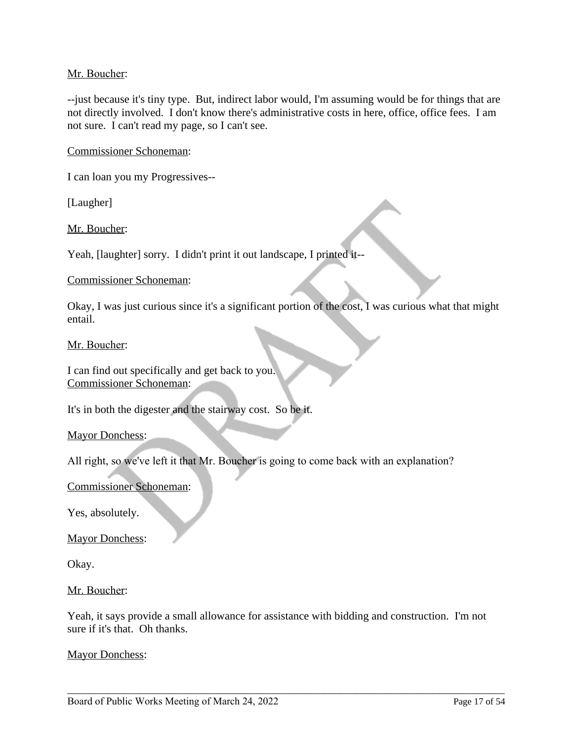### Mr. Boucher:

--just because it's tiny type. But, indirect labor would, I'm assuming would be for things that are not directly involved. I don't know there's administrative costs in here, office, office fees. I am not sure. I can't read my page, so I can't see.

Commissioner Schoneman:

I can loan you my Progressives--

[Laugher]

Mr. Boucher:

Yeah, [laughter] sorry. I didn't print it out landscape, I printed it--

#### Commissioner Schoneman:

Okay, I was just curious since it's a significant portion of the cost, I was curious what that might entail.

#### Mr. Boucher:

I can find out specifically and get back to you. Commissioner Schoneman:

It's in both the digester and the stairway cost. So be it.

Mayor Donchess:

All right, so we've left it that Mr. Boucher is going to come back with an explanation?

Commissioner Schoneman:

Yes, absolutely.

Mayor Donchess:

Okay.

Mr. Boucher:

Yeah, it says provide a small allowance for assistance with bidding and construction. I'm not sure if it's that. Oh thanks.

\_\_\_\_\_\_\_\_\_\_\_\_\_\_\_\_\_\_\_\_\_\_\_\_\_\_\_\_\_\_\_\_\_\_\_\_\_\_\_\_\_\_\_\_\_\_\_\_\_\_\_\_\_\_\_\_\_\_\_\_\_\_\_\_\_\_\_\_\_\_\_\_\_\_\_\_\_\_\_\_\_\_\_\_\_

Mayor Donchess: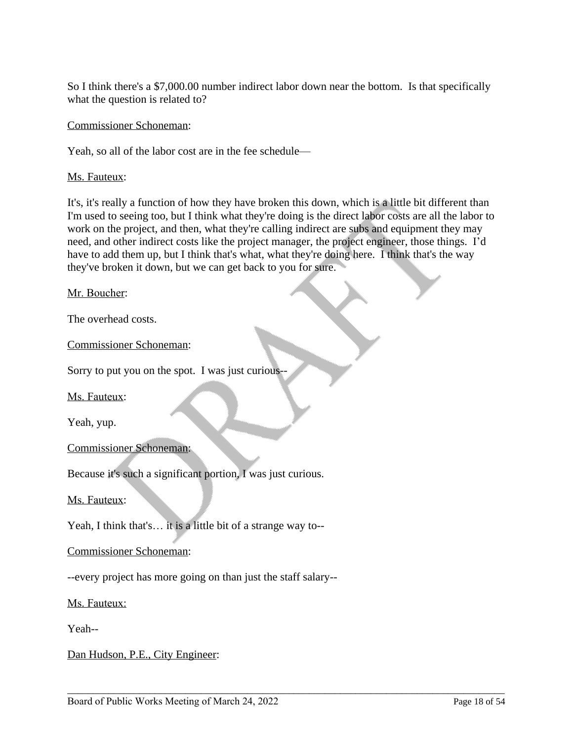So I think there's a \$7,000.00 number indirect labor down near the bottom. Is that specifically what the question is related to?

Commissioner Schoneman:

Yeah, so all of the labor cost are in the fee schedule—

Ms. Fauteux:

It's, it's really a function of how they have broken this down, which is a little bit different than I'm used to seeing too, but I think what they're doing is the direct labor costs are all the labor to work on the project, and then, what they're calling indirect are subs and equipment they may need, and other indirect costs like the project manager, the project engineer, those things. I'd have to add them up, but I think that's what, what they're doing here. I think that's the way they've broken it down, but we can get back to you for sure.

\_\_\_\_\_\_\_\_\_\_\_\_\_\_\_\_\_\_\_\_\_\_\_\_\_\_\_\_\_\_\_\_\_\_\_\_\_\_\_\_\_\_\_\_\_\_\_\_\_\_\_\_\_\_\_\_\_\_\_\_\_\_\_\_\_\_\_\_\_\_\_\_\_\_\_\_\_\_\_\_\_\_\_\_\_

Mr. Boucher:

The overhead costs.

Commissioner Schoneman:

Sorry to put you on the spot. I was just curious--

Ms. Fauteux:

Yeah, yup.

Commissioner Schoneman:

Because it's such a significant portion, I was just curious.

#### Ms. Fauteux:

Yeah, I think that's… it is a little bit of a strange way to--

#### Commissioner Schoneman:

--every project has more going on than just the staff salary--

Ms. Fauteux:

Yeah--

Dan Hudson, P.E., City Engineer: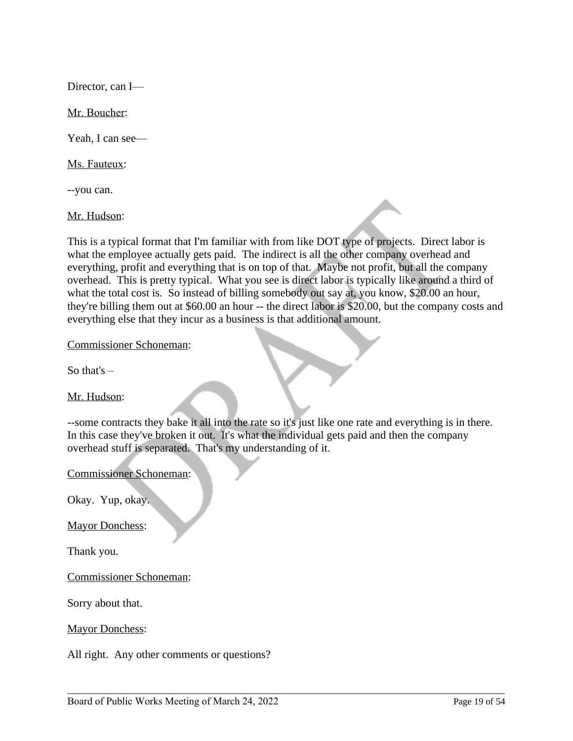Director, can I—

Mr. Boucher:

Yeah, I can see—

Ms. Fauteux:

--you can.

Mr. Hudson:

This is a typical format that I'm familiar with from like DOT type of projects. Direct labor is what the employee actually gets paid. The indirect is all the other company overhead and everything, profit and everything that is on top of that. Maybe not profit, but all the company overhead. This is pretty typical. What you see is direct labor is typically like around a third of what the total cost is. So instead of billing somebody out say at, you know, \$20.00 an hour, they're billing them out at \$60.00 an hour -- the direct labor is \$20.00, but the company costs and everything else that they incur as a business is that additional amount.

Commissioner Schoneman:

So that's  $-$ 

Mr. Hudson:

--some contracts they bake it all into the rate so it's just like one rate and everything is in there. In this case they've broken it out. It's what the individual gets paid and then the company overhead stuff is separated. That's my understanding of it.

\_\_\_\_\_\_\_\_\_\_\_\_\_\_\_\_\_\_\_\_\_\_\_\_\_\_\_\_\_\_\_\_\_\_\_\_\_\_\_\_\_\_\_\_\_\_\_\_\_\_\_\_\_\_\_\_\_\_\_\_\_\_\_\_\_\_\_\_\_\_\_\_\_\_\_\_\_\_\_\_\_\_\_\_\_

Commissioner Schoneman:

Okay. Yup, okay.

Mayor Donchess:

Thank you.

Commissioner Schoneman:

Sorry about that.

Mayor Donchess:

All right. Any other comments or questions?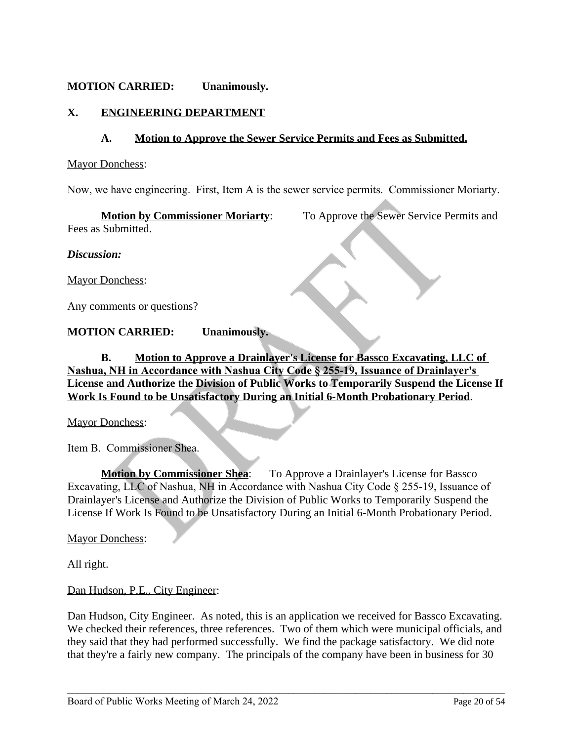# **MOTION CARRIED: Unanimously.**

# **X. ENGINEERING DEPARTMENT**

### **A. Motion to Approve the Sewer Service Permits and Fees as Submitted.**

#### Mayor Donchess:

Now, we have engineering. First, Item A is the sewer service permits. Commissioner Moriarty.

**Motion by Commissioner Moriarty:** To Approve the Sewer Service Permits and Fees as Submitted.

*Discussion:*

Mayor Donchess:

Any comments or questions?

### **MOTION CARRIED: Unanimously.**

**B. Motion to Approve a Drainlayer's License for Bassco Excavating, LLC of Nashua, NH in Accordance with Nashua City Code § 255-19, Issuance of Drainlayer's License and Authorize the Division of Public Works to Temporarily Suspend the License If Work Is Found to be Unsatisfactory During an Initial 6-Month Probationary Period**.

Mayor Donchess:

Item B. Commissioner Shea.

**Motion by Commissioner Shea:** To Approve a Drainlayer's License for Bassco Excavating, LLC of Nashua, NH in Accordance with Nashua City Code § 255-19, Issuance of Drainlayer's License and Authorize the Division of Public Works to Temporarily Suspend the License If Work Is Found to be Unsatisfactory During an Initial 6-Month Probationary Period.

Mayor Donchess:

All right.

Dan Hudson, P.E., City Engineer:

Dan Hudson, City Engineer. As noted, this is an application we received for Bassco Excavating. We checked their references, three references. Two of them which were municipal officials, and they said that they had performed successfully. We find the package satisfactory. We did note that they're a fairly new company. The principals of the company have been in business for 30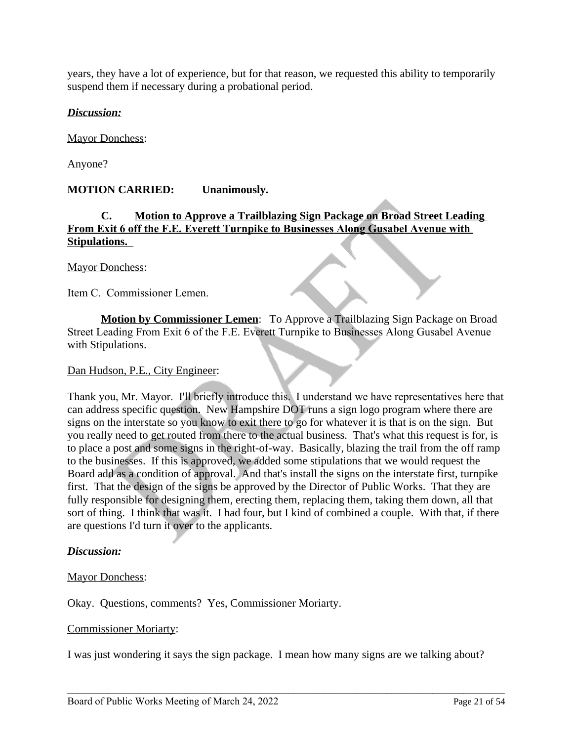years, they have a lot of experience, but for that reason, we requested this ability to temporarily suspend them if necessary during a probational period.

### *Discussion:*

Mayor Donchess:

Anyone?

## **MOTION CARRIED: Unanimously.**

# **C. Motion to Approve a Trailblazing Sign Package on Broad Street Leading From Exit 6 off the F.E. Everett Turnpike to Businesses Along Gusabel Avenue with Stipulations.**

Mayor Donchess:

Item C. Commissioner Lemen.

**Motion by Commissioner Lemen**: To Approve a Trailblazing Sign Package on Broad Street Leading From Exit 6 of the F.E. Everett Turnpike to Businesses Along Gusabel Avenue with Stipulations.

### Dan Hudson, P.E., City Engineer:

Thank you, Mr. Mayor. I'll briefly introduce this. I understand we have representatives here that can address specific question. New Hampshire DOT runs a sign logo program where there are signs on the interstate so you know to exit there to go for whatever it is that is on the sign. But you really need to get routed from there to the actual business. That's what this request is for, is to place a post and some signs in the right-of-way. Basically, blazing the trail from the off ramp to the businesses. If this is approved, we added some stipulations that we would request the Board add as a condition of approval. And that's install the signs on the interstate first, turnpike first. That the design of the signs be approved by the Director of Public Works. That they are fully responsible for designing them, erecting them, replacing them, taking them down, all that sort of thing. I think that was it. I had four, but I kind of combined a couple. With that, if there are questions I'd turn it over to the applicants.

### *Discussion:*

### Mayor Donchess:

Okay. Questions, comments? Yes, Commissioner Moriarty.

#### Commissioner Moriarty:

I was just wondering it says the sign package. I mean how many signs are we talking about?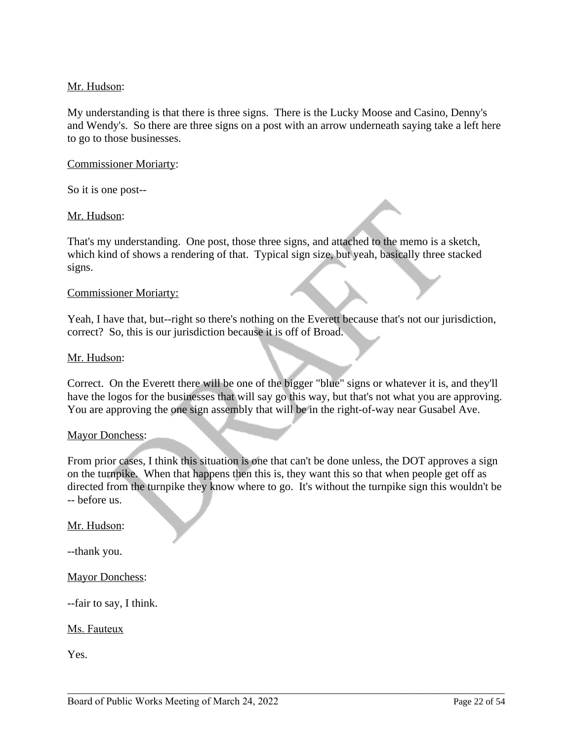## Mr. Hudson:

My understanding is that there is three signs. There is the Lucky Moose and Casino, Denny's and Wendy's. So there are three signs on a post with an arrow underneath saying take a left here to go to those businesses.

#### Commissioner Moriarty:

So it is one post--

#### Mr. Hudson:

That's my understanding. One post, those three signs, and attached to the memo is a sketch, which kind of shows a rendering of that. Typical sign size, but yeah, basically three stacked signs.

#### Commissioner Moriarty:

Yeah, I have that, but--right so there's nothing on the Everett because that's not our jurisdiction, correct? So, this is our jurisdiction because it is off of Broad.

#### Mr. Hudson:

Correct. On the Everett there will be one of the bigger "blue" signs or whatever it is, and they'll have the logos for the businesses that will say go this way, but that's not what you are approving. You are approving the one sign assembly that will be in the right-of-way near Gusabel Ave.

#### Mayor Donchess:

From prior cases, I think this situation is one that can't be done unless, the DOT approves a sign on the turnpike. When that happens then this is, they want this so that when people get off as directed from the turnpike they know where to go. It's without the turnpike sign this wouldn't be -- before us.

\_\_\_\_\_\_\_\_\_\_\_\_\_\_\_\_\_\_\_\_\_\_\_\_\_\_\_\_\_\_\_\_\_\_\_\_\_\_\_\_\_\_\_\_\_\_\_\_\_\_\_\_\_\_\_\_\_\_\_\_\_\_\_\_\_\_\_\_\_\_\_\_\_\_\_\_\_\_\_\_\_\_\_\_\_

#### Mr. Hudson:

--thank you.

Mayor Donchess:

--fair to say, I think.

#### Ms. Fauteux

Yes.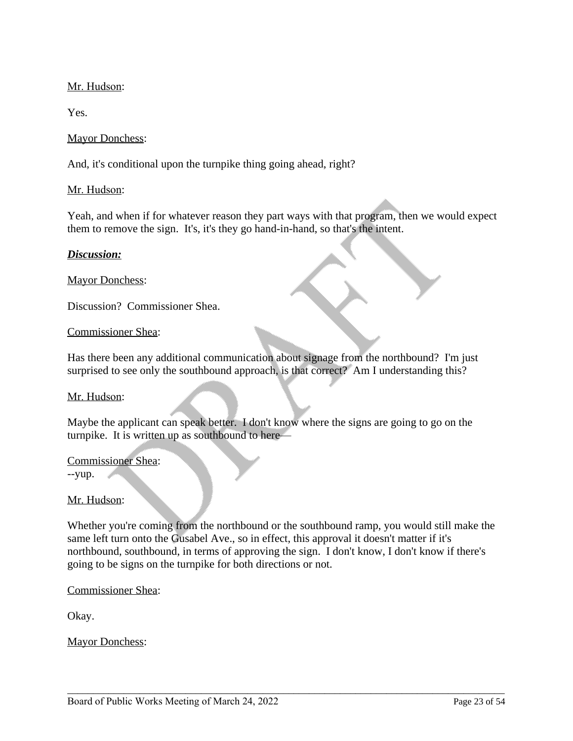# Mr. Hudson:

Yes.

## Mayor Donchess:

And, it's conditional upon the turnpike thing going ahead, right?

## Mr. Hudson:

Yeah, and when if for whatever reason they part ways with that program, then we would expect them to remove the sign. It's, it's they go hand-in-hand, so that's the intent.

### *Discussion:*

Mayor Donchess:

Discussion? Commissioner Shea.

### Commissioner Shea:

Has there been any additional communication about signage from the northbound? I'm just surprised to see only the southbound approach, is that correct? Am I understanding this?

### Mr. Hudson:

Maybe the applicant can speak better. I don't know where the signs are going to go on the turnpike. It is written up as southbound to here—

### Commissioner Shea:

--yup.

### Mr. Hudson:

Whether you're coming from the northbound or the southbound ramp, you would still make the same left turn onto the Gusabel Ave., so in effect, this approval it doesn't matter if it's northbound, southbound, in terms of approving the sign. I don't know, I don't know if there's going to be signs on the turnpike for both directions or not.

\_\_\_\_\_\_\_\_\_\_\_\_\_\_\_\_\_\_\_\_\_\_\_\_\_\_\_\_\_\_\_\_\_\_\_\_\_\_\_\_\_\_\_\_\_\_\_\_\_\_\_\_\_\_\_\_\_\_\_\_\_\_\_\_\_\_\_\_\_\_\_\_\_\_\_\_\_\_\_\_\_\_\_\_\_

### Commissioner Shea:

Okay.

Mayor Donchess: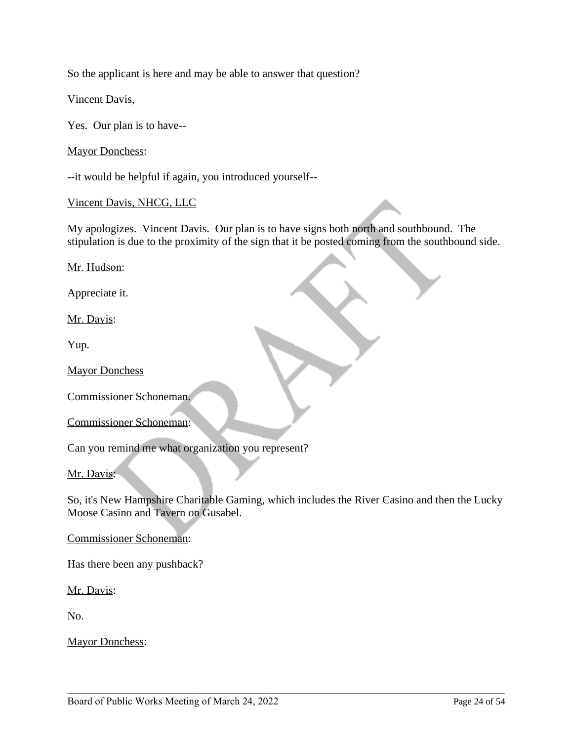So the applicant is here and may be able to answer that question?

Vincent Davis,

Yes. Our plan is to have--

Mayor Donchess:

--it would be helpful if again, you introduced yourself--

Vincent Davis, NHCG, LLC

My apologizes. Vincent Davis. Our plan is to have signs both north and southbound. The stipulation is due to the proximity of the sign that it be posted coming from the southbound side.

Mr. Hudson:

Appreciate it.

Mr. Davis:

Yup.

Mayor Donchess

Commissioner Schoneman.

Commissioner Schoneman:

Can you remind me what organization you represent?

#### Mr. Davis:

So, it's New Hampshire Charitable Gaming, which includes the River Casino and then the Lucky Moose Casino and Tavern on Gusabel.

\_\_\_\_\_\_\_\_\_\_\_\_\_\_\_\_\_\_\_\_\_\_\_\_\_\_\_\_\_\_\_\_\_\_\_\_\_\_\_\_\_\_\_\_\_\_\_\_\_\_\_\_\_\_\_\_\_\_\_\_\_\_\_\_\_\_\_\_\_\_\_\_\_\_\_\_\_\_\_\_\_\_\_\_\_

Commissioner Schoneman:

Has there been any pushback?

Mr. Davis:

No.

Mayor Donchess: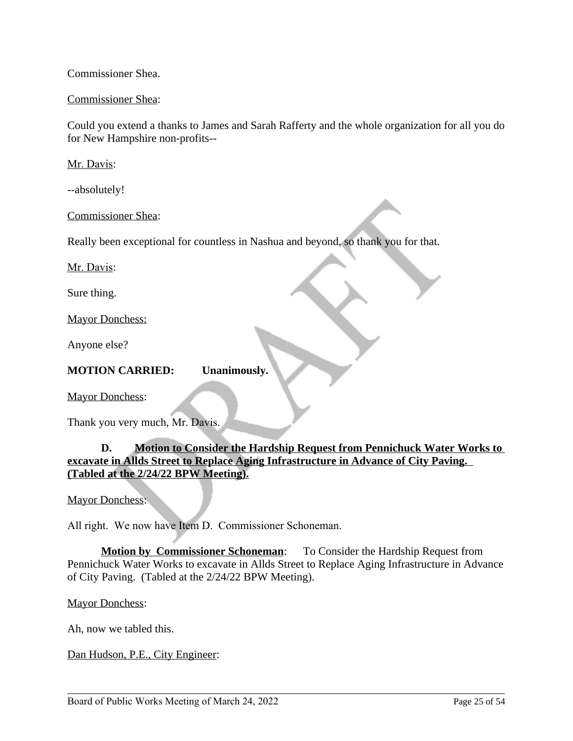### Commissioner Shea.

### Commissioner Shea:

Could you extend a thanks to James and Sarah Rafferty and the whole organization for all you do for New Hampshire non-profits--

Mr. Davis:

--absolutely!

Commissioner Shea:

Really been exceptional for countless in Nashua and beyond, so thank you for that.

Mr. Davis:

Sure thing.

Mayor Donchess:

Anyone else?

#### **MOTION CARRIED: Unanimously.**

Mayor Donchess:

Thank you very much, Mr. Davis.

# **D. Motion to Consider the Hardship Request from Pennichuck Water Works to excavate in Allds Street to Replace Aging Infrastructure in Advance of City Paving. (Tabled at the 2/24/22 BPW Meeting).**

Mayor Donchess:

All right. We now have Item D. Commissioner Schoneman.

**Motion by Commissioner Schoneman**: To Consider the Hardship Request from Pennichuck Water Works to excavate in Allds Street to Replace Aging Infrastructure in Advance of City Paving. (Tabled at the 2/24/22 BPW Meeting).

\_\_\_\_\_\_\_\_\_\_\_\_\_\_\_\_\_\_\_\_\_\_\_\_\_\_\_\_\_\_\_\_\_\_\_\_\_\_\_\_\_\_\_\_\_\_\_\_\_\_\_\_\_\_\_\_\_\_\_\_\_\_\_\_\_\_\_\_\_\_\_\_\_\_\_\_\_\_\_\_\_\_\_\_\_

Mayor Donchess:

Ah, now we tabled this.

Dan Hudson, P.E., City Engineer: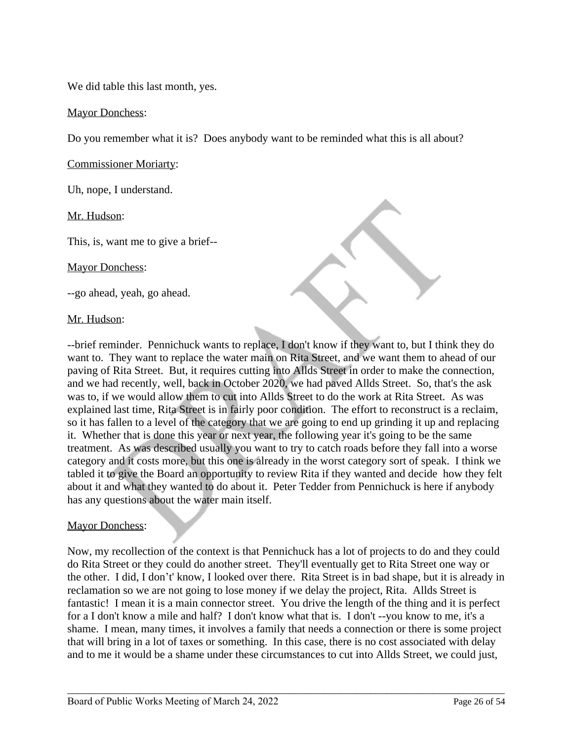We did table this last month, yes.

### Mayor Donchess:

Do you remember what it is? Does anybody want to be reminded what this is all about?

Commissioner Moriarty:

Uh, nope, I understand.

Mr. Hudson:

This, is, want me to give a brief--

Mayor Donchess:

--go ahead, yeah, go ahead.

#### Mr. Hudson:

--brief reminder. Pennichuck wants to replace, I don't know if they want to, but I think they do want to. They want to replace the water main on Rita Street, and we want them to ahead of our paving of Rita Street. But, it requires cutting into Allds Street in order to make the connection, and we had recently, well, back in October 2020, we had paved Allds Street. So, that's the ask was to, if we would allow them to cut into Allds Street to do the work at Rita Street. As was explained last time, Rita Street is in fairly poor condition. The effort to reconstruct is a reclaim, so it has fallen to a level of the category that we are going to end up grinding it up and replacing it. Whether that is done this year or next year, the following year it's going to be the same treatment. As was described usually you want to try to catch roads before they fall into a worse category and it costs more, but this one is already in the worst category sort of speak. I think we tabled it to give the Board an opportunity to review Rita if they wanted and decide how they felt about it and what they wanted to do about it. Peter Tedder from Pennichuck is here if anybody has any questions about the water main itself.

### Mayor Donchess:

Now, my recollection of the context is that Pennichuck has a lot of projects to do and they could do Rita Street or they could do another street. They'll eventually get to Rita Street one way or the other. I did, I don't' know, I looked over there. Rita Street is in bad shape, but it is already in reclamation so we are not going to lose money if we delay the project, Rita. Allds Street is fantastic! I mean it is a main connector street. You drive the length of the thing and it is perfect for a I don't know a mile and half? I don't know what that is. I don't --you know to me, it's a shame. I mean, many times, it involves a family that needs a connection or there is some project that will bring in a lot of taxes or something. In this case, there is no cost associated with delay and to me it would be a shame under these circumstances to cut into Allds Street, we could just,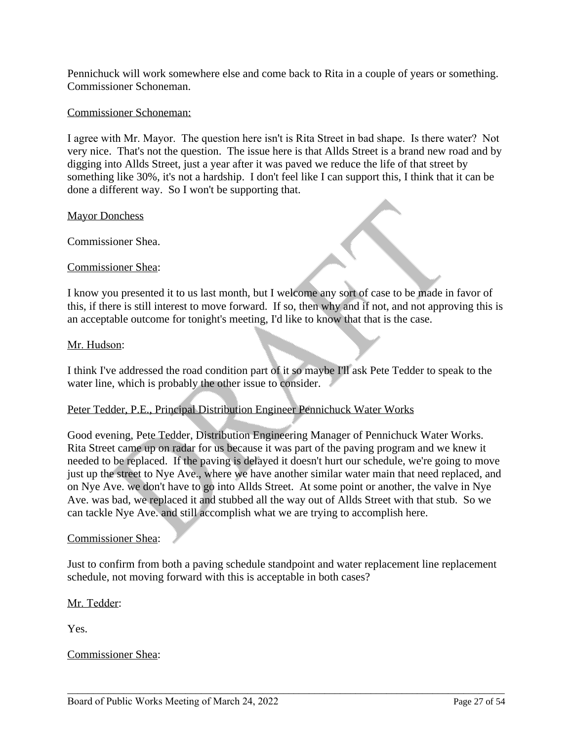Pennichuck will work somewhere else and come back to Rita in a couple of years or something. Commissioner Schoneman.

#### Commissioner Schoneman:

I agree with Mr. Mayor. The question here isn't is Rita Street in bad shape. Is there water? Not very nice. That's not the question. The issue here is that Allds Street is a brand new road and by digging into Allds Street, just a year after it was paved we reduce the life of that street by something like 30%, it's not a hardship. I don't feel like I can support this, I think that it can be done a different way. So I won't be supporting that.

#### **Mayor Donchess**

Commissioner Shea.

### Commissioner Shea:

I know you presented it to us last month, but I welcome any sort of case to be made in favor of this, if there is still interest to move forward. If so, then why and if not, and not approving this is an acceptable outcome for tonight's meeting, I'd like to know that that is the case.

#### Mr. Hudson:

I think I've addressed the road condition part of it so maybe I'll ask Pete Tedder to speak to the water line, which is probably the other issue to consider.

### Peter Tedder, P.E., Principal Distribution Engineer Pennichuck Water Works

Good evening, Pete Tedder, Distribution Engineering Manager of Pennichuck Water Works. Rita Street came up on radar for us because it was part of the paving program and we knew it needed to be replaced. If the paving is delayed it doesn't hurt our schedule, we're going to move just up the street to Nye Ave., where we have another similar water main that need replaced, and on Nye Ave. we don't have to go into Allds Street. At some point or another, the valve in Nye Ave. was bad, we replaced it and stubbed all the way out of Allds Street with that stub. So we can tackle Nye Ave. and still accomplish what we are trying to accomplish here.

#### Commissioner Shea:

Just to confirm from both a paving schedule standpoint and water replacement line replacement schedule, not moving forward with this is acceptable in both cases?

\_\_\_\_\_\_\_\_\_\_\_\_\_\_\_\_\_\_\_\_\_\_\_\_\_\_\_\_\_\_\_\_\_\_\_\_\_\_\_\_\_\_\_\_\_\_\_\_\_\_\_\_\_\_\_\_\_\_\_\_\_\_\_\_\_\_\_\_\_\_\_\_\_\_\_\_\_\_\_\_\_\_\_\_\_

### Mr. Tedder:

Yes.

### Commissioner Shea: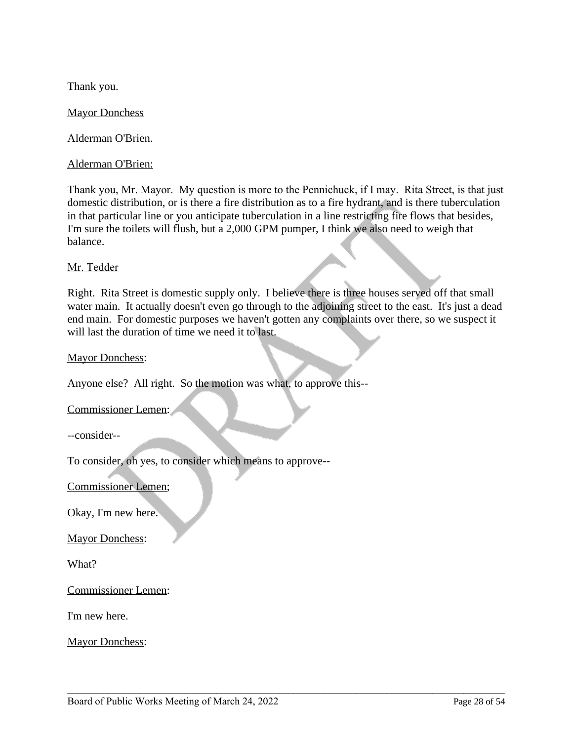Thank you.

Mayor Donchess

Alderman O'Brien.

Alderman O'Brien:

Thank you, Mr. Mayor. My question is more to the Pennichuck, if I may. Rita Street, is that just domestic distribution, or is there a fire distribution as to a fire hydrant, and is there tuberculation in that particular line or you anticipate tuberculation in a line restricting fire flows that besides, I'm sure the toilets will flush, but a 2,000 GPM pumper, I think we also need to weigh that balance.

## Mr. Tedder

Right. Rita Street is domestic supply only. I believe there is three houses served off that small water main. It actually doesn't even go through to the adjoining street to the east. It's just a dead end main. For domestic purposes we haven't gotten any complaints over there, so we suspect it will last the duration of time we need it to last.

\_\_\_\_\_\_\_\_\_\_\_\_\_\_\_\_\_\_\_\_\_\_\_\_\_\_\_\_\_\_\_\_\_\_\_\_\_\_\_\_\_\_\_\_\_\_\_\_\_\_\_\_\_\_\_\_\_\_\_\_\_\_\_\_\_\_\_\_\_\_\_\_\_\_\_\_\_\_\_\_\_\_\_\_\_

Mayor Donchess:

Anyone else? All right. So the motion was what, to approve this--

Commissioner Lemen:

--consider--

To consider, oh yes, to consider which means to approve--

Commissioner Lemen;

Okay, I'm new here.

Mayor Donchess:

What?

Commissioner Lemen:

I'm new here.

Mayor Donchess: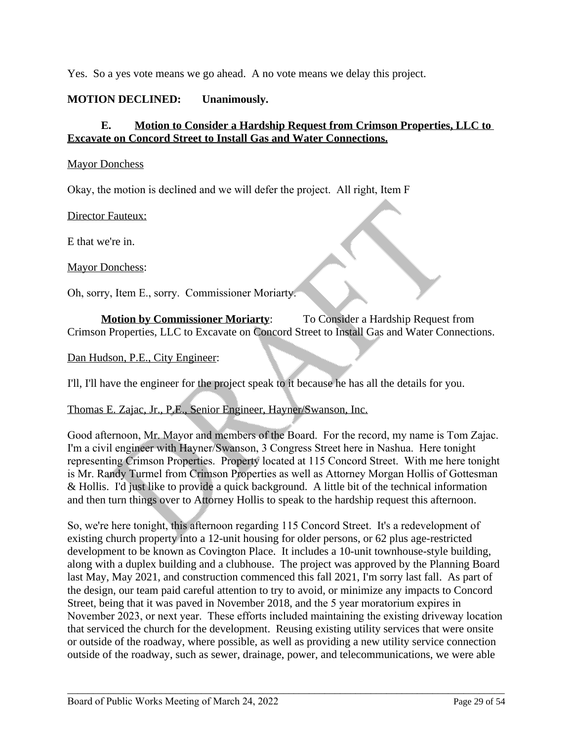Yes. So a yes vote means we go ahead. A no vote means we delay this project.

# **MOTION DECLINED: Unanimously.**

# **E. Motion to Consider a Hardship Request from Crimson Properties, LLC to Excavate on Concord Street to Install Gas and Water Connections.**

### Mayor Donchess

Okay, the motion is declined and we will defer the project. All right, Item F

Director Fauteux:

E that we're in.

Mayor Donchess:

Oh, sorry, Item E., sorry. Commissioner Moriarty.

**Motion by Commissioner Moriarty:** To Consider a Hardship Request from Crimson Properties, LLC to Excavate on Concord Street to Install Gas and Water Connections.

Dan Hudson, P.E., City Engineer:

I'll, I'll have the engineer for the project speak to it because he has all the details for you.

### Thomas E. Zajac, Jr., P.E., Senior Engineer, Hayner/Swanson, Inc.

Good afternoon, Mr. Mayor and members of the Board. For the record, my name is Tom Zajac. I'm a civil engineer with Hayner/Swanson, 3 Congress Street here in Nashua. Here tonight representing Crimson Properties. Property located at 115 Concord Street. With me here tonight is Mr. Randy Turmel from Crimson Properties as well as Attorney Morgan Hollis of Gottesman & Hollis. I'd just like to provide a quick background. A little bit of the technical information and then turn things over to Attorney Hollis to speak to the hardship request this afternoon.

So, we're here tonight, this afternoon regarding 115 Concord Street. It's a redevelopment of existing church property into a 12-unit housing for older persons, or 62 plus age-restricted development to be known as Covington Place. It includes a 10-unit townhouse-style building, along with a duplex building and a clubhouse. The project was approved by the Planning Board last May, May 2021, and construction commenced this fall 2021, I'm sorry last fall. As part of the design, our team paid careful attention to try to avoid, or minimize any impacts to Concord Street, being that it was paved in November 2018, and the 5 year moratorium expires in November 2023, or next year. These efforts included maintaining the existing driveway location that serviced the church for the development. Reusing existing utility services that were onsite or outside of the roadway, where possible, as well as providing a new utility service connection outside of the roadway, such as sewer, drainage, power, and telecommunications, we were able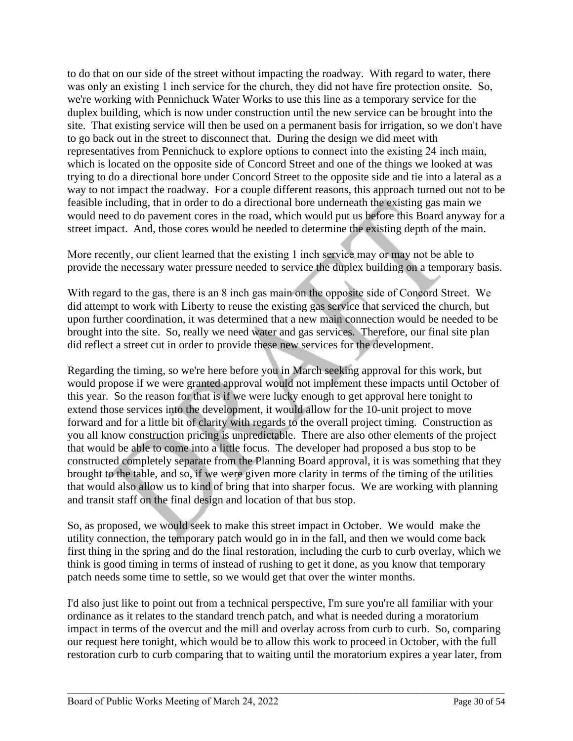to do that on our side of the street without impacting the roadway. With regard to water, there was only an existing 1 inch service for the church, they did not have fire protection onsite. So, we're working with Pennichuck Water Works to use this line as a temporary service for the duplex building, which is now under construction until the new service can be brought into the site. That existing service will then be used on a permanent basis for irrigation, so we don't have to go back out in the street to disconnect that. During the design we did meet with representatives from Pennichuck to explore options to connect into the existing 24 inch main, which is located on the opposite side of Concord Street and one of the things we looked at was trying to do a directional bore under Concord Street to the opposite side and tie into a lateral as a way to not impact the roadway. For a couple different reasons, this approach turned out not to be feasible including, that in order to do a directional bore underneath the existing gas main we would need to do pavement cores in the road, which would put us before this Board anyway for a street impact. And, those cores would be needed to determine the existing depth of the main.

More recently, our client learned that the existing 1 inch service may or may not be able to provide the necessary water pressure needed to service the duplex building on a temporary basis.

With regard to the gas, there is an 8 inch gas main on the opposite side of Concord Street. We did attempt to work with Liberty to reuse the existing gas service that serviced the church, but upon further coordination, it was determined that a new main connection would be needed to be brought into the site. So, really we need water and gas services. Therefore, our final site plan did reflect a street cut in order to provide these new services for the development.

Regarding the timing, so we're here before you in March seeking approval for this work, but would propose if we were granted approval would not implement these impacts until October of this year. So the reason for that is if we were lucky enough to get approval here tonight to extend those services into the development, it would allow for the 10-unit project to move forward and for a little bit of clarity with regards to the overall project timing. Construction as you all know construction pricing is unpredictable. There are also other elements of the project that would be able to come into a little focus. The developer had proposed a bus stop to be constructed completely separate from the Planning Board approval, it is was something that they brought to the table, and so, if we were given more clarity in terms of the timing of the utilities that would also allow us to kind of bring that into sharper focus. We are working with planning and transit staff on the final design and location of that bus stop.

So, as proposed, we would seek to make this street impact in October. We would make the utility connection, the temporary patch would go in in the fall, and then we would come back first thing in the spring and do the final restoration, including the curb to curb overlay, which we think is good timing in terms of instead of rushing to get it done, as you know that temporary patch needs some time to settle, so we would get that over the winter months.

I'd also just like to point out from a technical perspective, I'm sure you're all familiar with your ordinance as it relates to the standard trench patch, and what is needed during a moratorium impact in terms of the overcut and the mill and overlay across from curb to curb. So, comparing our request here tonight, which would be to allow this work to proceed in October, with the full restoration curb to curb comparing that to waiting until the moratorium expires a year later, from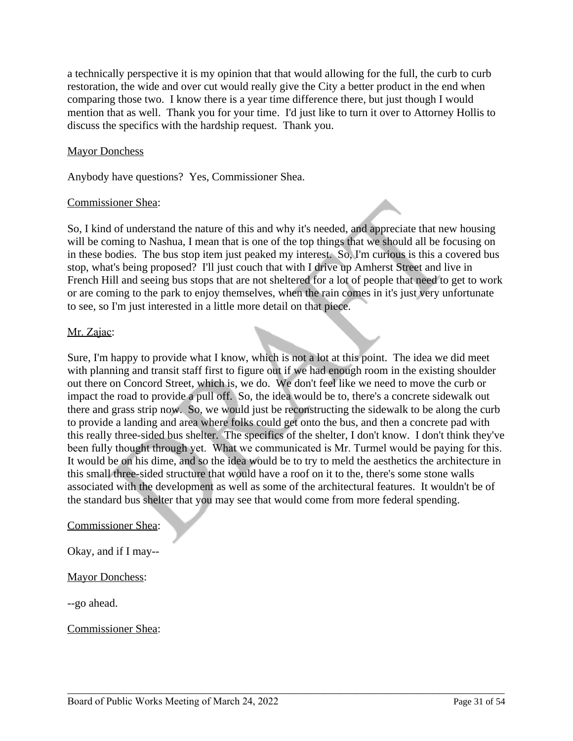a technically perspective it is my opinion that that would allowing for the full, the curb to curb restoration, the wide and over cut would really give the City a better product in the end when comparing those two. I know there is a year time difference there, but just though I would mention that as well. Thank you for your time. I'd just like to turn it over to Attorney Hollis to discuss the specifics with the hardship request. Thank you.

### Mayor Donchess

Anybody have questions? Yes, Commissioner Shea.

### Commissioner Shea:

So, I kind of understand the nature of this and why it's needed, and appreciate that new housing will be coming to Nashua, I mean that is one of the top things that we should all be focusing on in these bodies. The bus stop item just peaked my interest. So, I'm curious is this a covered bus stop, what's being proposed? I'll just couch that with I drive up Amherst Street and live in French Hill and seeing bus stops that are not sheltered for a lot of people that need to get to work or are coming to the park to enjoy themselves, when the rain comes in it's just very unfortunate to see, so I'm just interested in a little more detail on that piece.

## Mr. Zajac:

Sure, I'm happy to provide what I know, which is not a lot at this point. The idea we did meet with planning and transit staff first to figure out if we had enough room in the existing shoulder out there on Concord Street, which is, we do. We don't feel like we need to move the curb or impact the road to provide a pull off. So, the idea would be to, there's a concrete sidewalk out there and grass strip now. So, we would just be reconstructing the sidewalk to be along the curb to provide a landing and area where folks could get onto the bus, and then a concrete pad with this really three-sided bus shelter. The specifics of the shelter, I don't know. I don't think they've been fully thought through yet. What we communicated is Mr. Turmel would be paying for this. It would be on his dime, and so the idea would be to try to meld the aesthetics the architecture in this small three-sided structure that would have a roof on it to the, there's some stone walls associated with the development as well as some of the architectural features. It wouldn't be of the standard bus shelter that you may see that would come from more federal spending.

\_\_\_\_\_\_\_\_\_\_\_\_\_\_\_\_\_\_\_\_\_\_\_\_\_\_\_\_\_\_\_\_\_\_\_\_\_\_\_\_\_\_\_\_\_\_\_\_\_\_\_\_\_\_\_\_\_\_\_\_\_\_\_\_\_\_\_\_\_\_\_\_\_\_\_\_\_\_\_\_\_\_\_\_\_

### Commissioner Shea:

Okay, and if I may--

# Mayor Donchess:

--go ahead.

Commissioner Shea: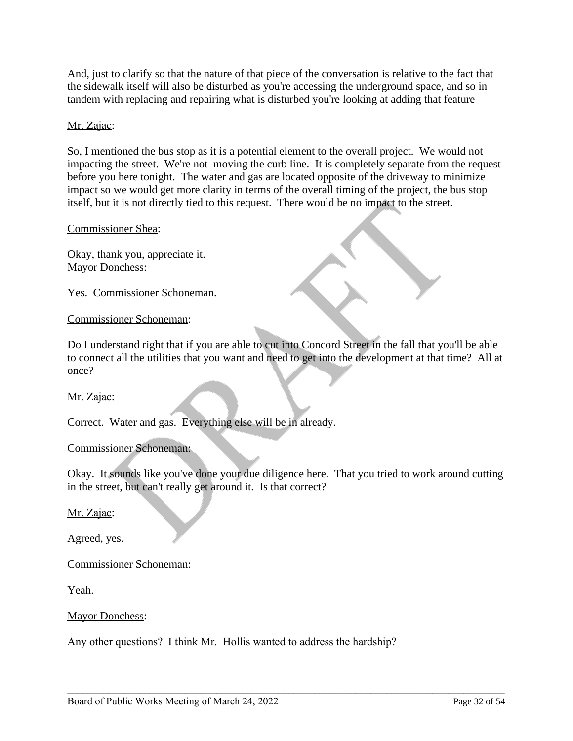And, just to clarify so that the nature of that piece of the conversation is relative to the fact that the sidewalk itself will also be disturbed as you're accessing the underground space, and so in tandem with replacing and repairing what is disturbed you're looking at adding that feature

# Mr. Zajac:

So, I mentioned the bus stop as it is a potential element to the overall project. We would not impacting the street. We're not moving the curb line. It is completely separate from the request before you here tonight. The water and gas are located opposite of the driveway to minimize impact so we would get more clarity in terms of the overall timing of the project, the bus stop itself, but it is not directly tied to this request. There would be no impact to the street.

### Commissioner Shea:

Okay, thank you, appreciate it. Mayor Donchess:

Yes. Commissioner Schoneman.

### Commissioner Schoneman:

Do I understand right that if you are able to cut into Concord Street in the fall that you'll be able to connect all the utilities that you want and need to get into the development at that time? All at once?

### Mr. Zajac:

Correct. Water and gas. Everything else will be in already.

### Commissioner Schoneman:

Okay. It sounds like you've done your due diligence here. That you tried to work around cutting in the street, but can't really get around it. Is that correct?

\_\_\_\_\_\_\_\_\_\_\_\_\_\_\_\_\_\_\_\_\_\_\_\_\_\_\_\_\_\_\_\_\_\_\_\_\_\_\_\_\_\_\_\_\_\_\_\_\_\_\_\_\_\_\_\_\_\_\_\_\_\_\_\_\_\_\_\_\_\_\_\_\_\_\_\_\_\_\_\_\_\_\_\_\_

Mr. Zajac:

Agreed, yes.

Commissioner Schoneman:

Yeah.

Mayor Donchess:

Any other questions? I think Mr. Hollis wanted to address the hardship?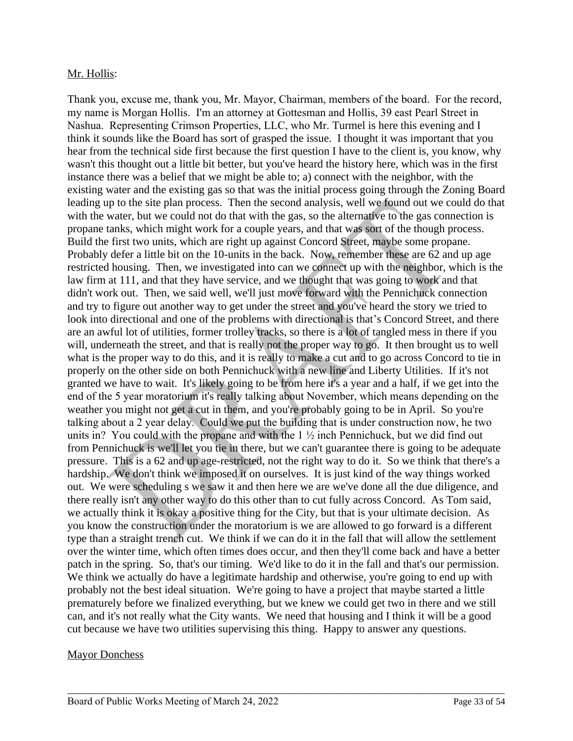## Mr. Hollis:

Thank you, excuse me, thank you, Mr. Mayor, Chairman, members of the board. For the record, my name is Morgan Hollis. I'm an attorney at Gottesman and Hollis, 39 east Pearl Street in Nashua. Representing Crimson Properties, LLC, who Mr. Turmel is here this evening and I think it sounds like the Board has sort of grasped the issue. I thought it was important that you hear from the technical side first because the first question I have to the client is, you know, why wasn't this thought out a little bit better, but you've heard the history here, which was in the first instance there was a belief that we might be able to; a) connect with the neighbor, with the existing water and the existing gas so that was the initial process going through the Zoning Board leading up to the site plan process. Then the second analysis, well we found out we could do that with the water, but we could not do that with the gas, so the alternative to the gas connection is propane tanks, which might work for a couple years, and that was sort of the though process. Build the first two units, which are right up against Concord Street, maybe some propane. Probably defer a little bit on the 10-units in the back. Now, remember these are 62 and up age restricted housing. Then, we investigated into can we connect up with the neighbor, which is the law firm at 111, and that they have service, and we thought that was going to work and that didn't work out. Then, we said well, we'll just move forward with the Pennichuck connection and try to figure out another way to get under the street and you've heard the story we tried to look into directional and one of the problems with directional is that's Concord Street, and there are an awful lot of utilities, former trolley tracks, so there is a lot of tangled mess in there if you will, underneath the street, and that is really not the proper way to go. It then brought us to well what is the proper way to do this, and it is really to make a cut and to go across Concord to tie in properly on the other side on both Pennichuck with a new line and Liberty Utilities. If it's not granted we have to wait. It's likely going to be from here it's a year and a half, if we get into the end of the 5 year moratorium it's really talking about November, which means depending on the weather you might not get a cut in them, and you're probably going to be in April. So you're talking about a 2 year delay. Could we put the building that is under construction now, he two units in? You could with the propane and with the  $1\frac{1}{2}$  inch Pennichuck, but we did find out from Pennichuck is we'll let you tie in there, but we can't guarantee there is going to be adequate pressure. This is a 62 and up age-restricted, not the right way to do it. So we think that there's a hardship. We don't think we imposed it on ourselves. It is just kind of the way things worked out. We were scheduling s we saw it and then here we are we've done all the due diligence, and there really isn't any other way to do this other than to cut fully across Concord. As Tom said, we actually think it is okay a positive thing for the City, but that is your ultimate decision. As you know the construction under the moratorium is we are allowed to go forward is a different type than a straight trench cut. We think if we can do it in the fall that will allow the settlement over the winter time, which often times does occur, and then they'll come back and have a better patch in the spring. So, that's our timing. We'd like to do it in the fall and that's our permission. We think we actually do have a legitimate hardship and otherwise, you're going to end up with probably not the best ideal situation. We're going to have a project that maybe started a little prematurely before we finalized everything, but we knew we could get two in there and we still can, and it's not really what the City wants. We need that housing and I think it will be a good cut because we have two utilities supervising this thing. Happy to answer any questions.

\_\_\_\_\_\_\_\_\_\_\_\_\_\_\_\_\_\_\_\_\_\_\_\_\_\_\_\_\_\_\_\_\_\_\_\_\_\_\_\_\_\_\_\_\_\_\_\_\_\_\_\_\_\_\_\_\_\_\_\_\_\_\_\_\_\_\_\_\_\_\_\_\_\_\_\_\_\_\_\_\_\_\_\_\_

### Mayor Donchess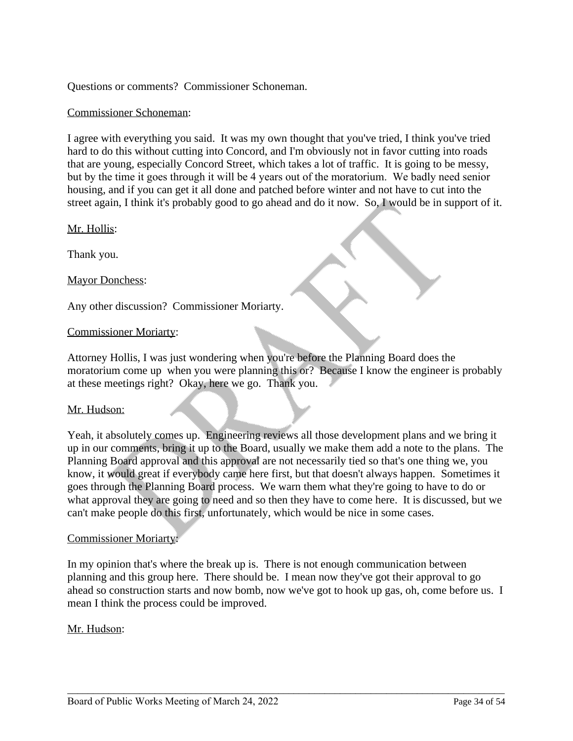Questions or comments? Commissioner Schoneman.

### Commissioner Schoneman:

I agree with everything you said. It was my own thought that you've tried, I think you've tried hard to do this without cutting into Concord, and I'm obviously not in favor cutting into roads that are young, especially Concord Street, which takes a lot of traffic. It is going to be messy, but by the time it goes through it will be 4 years out of the moratorium. We badly need senior housing, and if you can get it all done and patched before winter and not have to cut into the street again, I think it's probably good to go ahead and do it now. So, I would be in support of it.

Mr. Hollis:

Thank you.

Mayor Donchess:

Any other discussion? Commissioner Moriarty.

### Commissioner Moriarty:

Attorney Hollis, I was just wondering when you're before the Planning Board does the moratorium come up when you were planning this or? Because I know the engineer is probably at these meetings right? Okay, here we go. Thank you.

### Mr. Hudson:

Yeah, it absolutely comes up. Engineering reviews all those development plans and we bring it up in our comments, bring it up to the Board, usually we make them add a note to the plans. The Planning Board approval and this approval are not necessarily tied so that's one thing we, you know, it would great if everybody came here first, but that doesn't always happen. Sometimes it goes through the Planning Board process. We warn them what they're going to have to do or what approval they are going to need and so then they have to come here. It is discussed, but we can't make people do this first, unfortunately, which would be nice in some cases.

### Commissioner Moriarty:

In my opinion that's where the break up is. There is not enough communication between planning and this group here. There should be. I mean now they've got their approval to go ahead so construction starts and now bomb, now we've got to hook up gas, oh, come before us. I mean I think the process could be improved.

\_\_\_\_\_\_\_\_\_\_\_\_\_\_\_\_\_\_\_\_\_\_\_\_\_\_\_\_\_\_\_\_\_\_\_\_\_\_\_\_\_\_\_\_\_\_\_\_\_\_\_\_\_\_\_\_\_\_\_\_\_\_\_\_\_\_\_\_\_\_\_\_\_\_\_\_\_\_\_\_\_\_\_\_\_

### Mr. Hudson: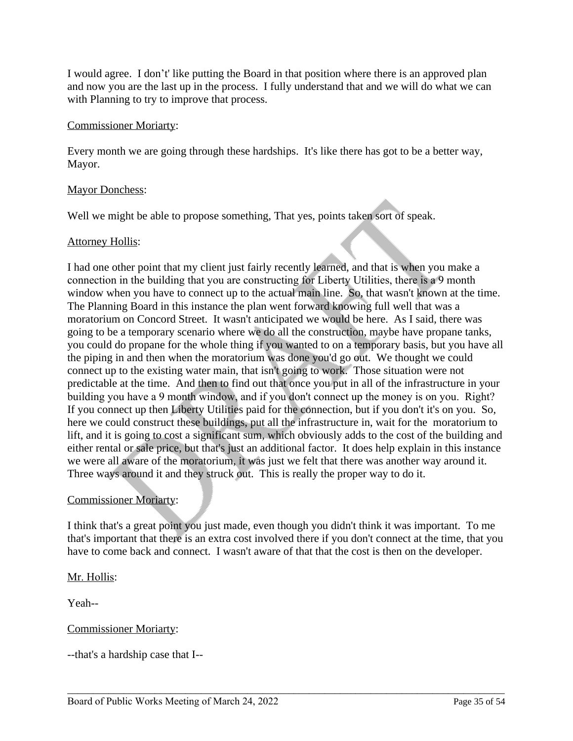I would agree. I don't' like putting the Board in that position where there is an approved plan and now you are the last up in the process. I fully understand that and we will do what we can with Planning to try to improve that process.

### Commissioner Moriarty:

Every month we are going through these hardships. It's like there has got to be a better way, Mayor.

## Mayor Donchess:

Well we might be able to propose something, That yes, points taken sort of speak.

## **Attorney Hollis:**

I had one other point that my client just fairly recently learned, and that is when you make a connection in the building that you are constructing for Liberty Utilities, there is a 9 month window when you have to connect up to the actual main line. So, that wasn't known at the time. The Planning Board in this instance the plan went forward knowing full well that was a moratorium on Concord Street. It wasn't anticipated we would be here. As I said, there was going to be a temporary scenario where we do all the construction, maybe have propane tanks, you could do propane for the whole thing if you wanted to on a temporary basis, but you have all the piping in and then when the moratorium was done you'd go out. We thought we could connect up to the existing water main, that isn't going to work. Those situation were not predictable at the time. And then to find out that once you put in all of the infrastructure in your building you have a 9 month window, and if you don't connect up the money is on you. Right? If you connect up then Liberty Utilities paid for the connection, but if you don't it's on you. So, here we could construct these buildings, put all the infrastructure in, wait for the moratorium to lift, and it is going to cost a significant sum, which obviously adds to the cost of the building and either rental or sale price, but that's just an additional factor. It does help explain in this instance we were all aware of the moratorium, it was just we felt that there was another way around it. Three ways around it and they struck out. This is really the proper way to do it.

# Commissioner Moriarty:

I think that's a great point you just made, even though you didn't think it was important. To me that's important that there is an extra cost involved there if you don't connect at the time, that you have to come back and connect. I wasn't aware of that that the cost is then on the developer.

# Mr. Hollis:

Yeah--

# Commissioner Moriarty:

--that's a hardship case that I--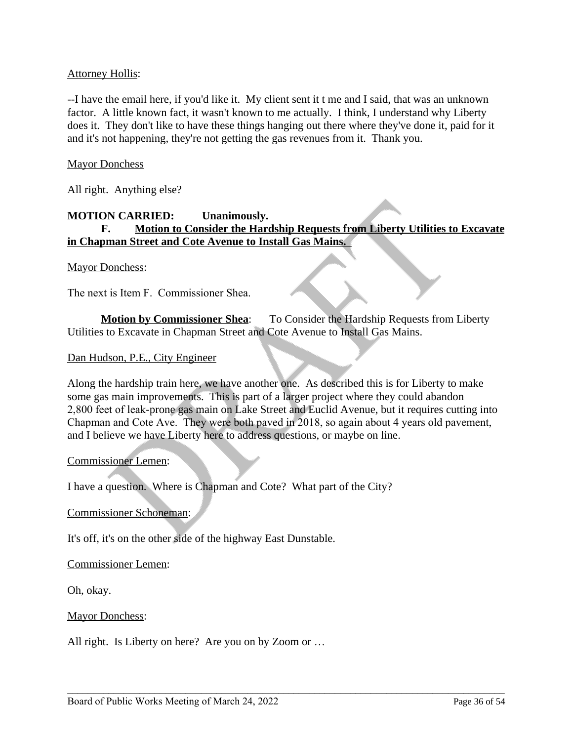## Attorney Hollis:

--I have the email here, if you'd like it. My client sent it t me and I said, that was an unknown factor. A little known fact, it wasn't known to me actually. I think, I understand why Liberty does it. They don't like to have these things hanging out there where they've done it, paid for it and it's not happening, they're not getting the gas revenues from it. Thank you.

### **Mayor Donchess**

All right. Anything else?

# **MOTION CARRIED: Unanimously. F. Motion to Consider the Hardship Requests from Liberty Utilities to Excavate in Chapman Street and Cote Avenue to Install Gas Mains.**

#### Mayor Donchess:

The next is Item F. Commissioner Shea.

**Motion by Commissioner Shea**: To Consider the Hardship Requests from Liberty Utilities to Excavate in Chapman Street and Cote Avenue to Install Gas Mains.

#### Dan Hudson, P.E., City Engineer

Along the hardship train here, we have another one. As described this is for Liberty to make some gas main improvements. This is part of a larger project where they could abandon 2,800 feet of leak-prone gas main on Lake Street and Euclid Avenue, but it requires cutting into Chapman and Cote Ave. They were both paved in 2018, so again about 4 years old pavement, and I believe we have Liberty here to address questions, or maybe on line.

\_\_\_\_\_\_\_\_\_\_\_\_\_\_\_\_\_\_\_\_\_\_\_\_\_\_\_\_\_\_\_\_\_\_\_\_\_\_\_\_\_\_\_\_\_\_\_\_\_\_\_\_\_\_\_\_\_\_\_\_\_\_\_\_\_\_\_\_\_\_\_\_\_\_\_\_\_\_\_\_\_\_\_\_\_

#### Commissioner Lemen:

I have a question. Where is Chapman and Cote? What part of the City?

#### Commissioner Schoneman:

It's off, it's on the other side of the highway East Dunstable.

#### Commissioner Lemen:

Oh, okay.

#### Mayor Donchess:

All right. Is Liberty on here? Are you on by Zoom or ...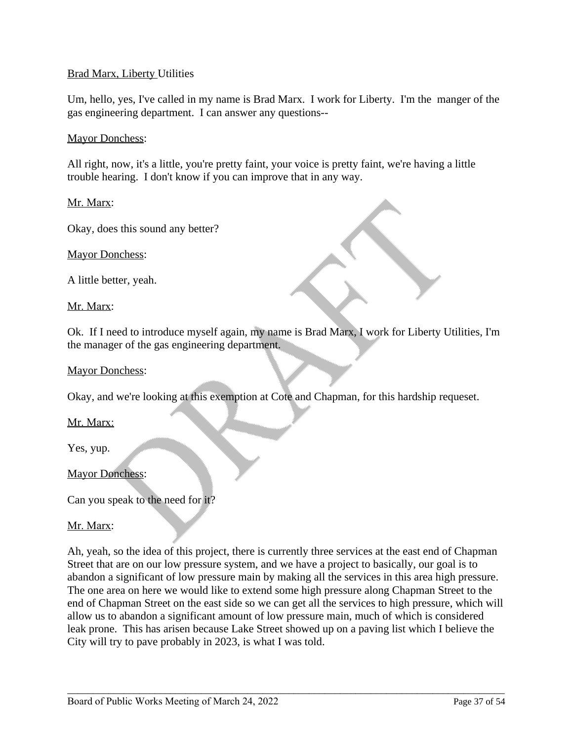## Brad Marx, Liberty Utilities

Um, hello, yes, I've called in my name is Brad Marx. I work for Liberty. I'm the manger of the gas engineering department. I can answer any questions--

#### Mayor Donchess:

All right, now, it's a little, you're pretty faint, your voice is pretty faint, we're having a little trouble hearing. I don't know if you can improve that in any way.

Mr. Marx:

Okay, does this sound any better?

Mayor Donchess:

A little better, yeah.

Mr. Marx:

Ok. If I need to introduce myself again, my name is Brad Marx, I work for Liberty Utilities, I'm the manager of the gas engineering department.

#### Mayor Donchess:

Okay, and we're looking at this exemption at Cote and Chapman, for this hardship requeset.

Mr. Marx:

Yes, yup.

#### Mayor Donchess:

Can you speak to the need for it?

Mr. Marx:

Ah, yeah, so the idea of this project, there is currently three services at the east end of Chapman Street that are on our low pressure system, and we have a project to basically, our goal is to abandon a significant of low pressure main by making all the services in this area high pressure. The one area on here we would like to extend some high pressure along Chapman Street to the end of Chapman Street on the east side so we can get all the services to high pressure, which will allow us to abandon a significant amount of low pressure main, much of which is considered leak prone. This has arisen because Lake Street showed up on a paving list which I believe the City will try to pave probably in 2023, is what I was told.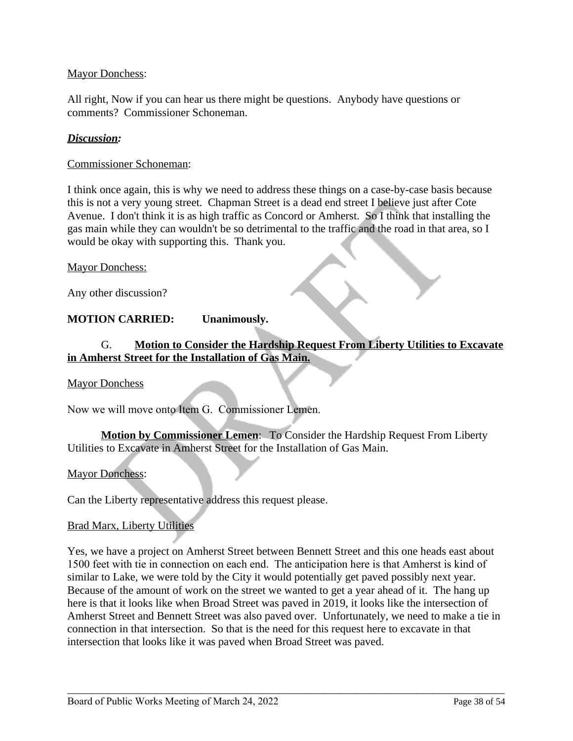### Mayor Donchess:

All right, Now if you can hear us there might be questions. Anybody have questions or comments? Commissioner Schoneman.

### *Discussion:*

Commissioner Schoneman:

I think once again, this is why we need to address these things on a case-by-case basis because this is not a very young street. Chapman Street is a dead end street I believe just after Cote Avenue. I don't think it is as high traffic as Concord or Amherst. So I think that installing the gas main while they can wouldn't be so detrimental to the traffic and the road in that area, so I would be okay with supporting this. Thank you.

#### Mayor Donchess:

Any other discussion?

## **MOTION CARRIED: Unanimously.**

# G. **Motion to Consider the Hardship Request From Liberty Utilities to Excavate in Amherst Street for the Installation of Gas Main.**

Mayor Donchess

Now we will move onto Item G. Commissioner Lemen.

**Motion by Commissioner Lemen**: To Consider the Hardship Request From Liberty Utilities to Excavate in Amherst Street for the Installation of Gas Main.

#### Mayor Donchess:

Can the Liberty representative address this request please.

### Brad Marx, Liberty Utilities

Yes, we have a project on Amherst Street between Bennett Street and this one heads east about 1500 feet with tie in connection on each end. The anticipation here is that Amherst is kind of similar to Lake, we were told by the City it would potentially get paved possibly next year. Because of the amount of work on the street we wanted to get a year ahead of it. The hang up here is that it looks like when Broad Street was paved in 2019, it looks like the intersection of Amherst Street and Bennett Street was also paved over. Unfortunately, we need to make a tie in connection in that intersection. So that is the need for this request here to excavate in that intersection that looks like it was paved when Broad Street was paved.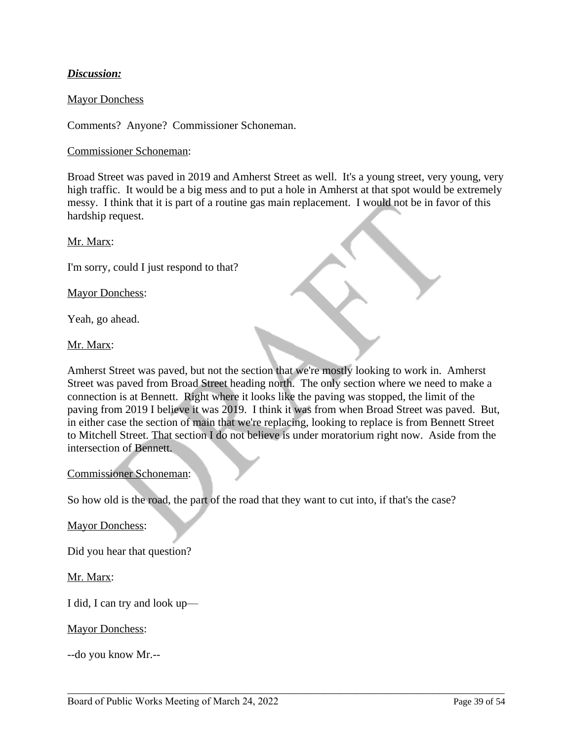# *Discussion:*

#### Mayor Donchess

Comments? Anyone? Commissioner Schoneman.

#### Commissioner Schoneman:

Broad Street was paved in 2019 and Amherst Street as well. It's a young street, very young, very high traffic. It would be a big mess and to put a hole in Amherst at that spot would be extremely messy. I think that it is part of a routine gas main replacement. I would not be in favor of this hardship request.

Mr. Marx:

I'm sorry, could I just respond to that?

Mayor Donchess:

Yeah, go ahead.

### Mr. Marx:

Amherst Street was paved, but not the section that we're mostly looking to work in. Amherst Street was paved from Broad Street heading north. The only section where we need to make a connection is at Bennett. Right where it looks like the paving was stopped, the limit of the paving from 2019 I believe it was 2019. I think it was from when Broad Street was paved. But, in either case the section of main that we're replacing, looking to replace is from Bennett Street to Mitchell Street. That section I do not believe is under moratorium right now. Aside from the intersection of Bennett.

\_\_\_\_\_\_\_\_\_\_\_\_\_\_\_\_\_\_\_\_\_\_\_\_\_\_\_\_\_\_\_\_\_\_\_\_\_\_\_\_\_\_\_\_\_\_\_\_\_\_\_\_\_\_\_\_\_\_\_\_\_\_\_\_\_\_\_\_\_\_\_\_\_\_\_\_\_\_\_\_\_\_\_\_\_

#### Commissioner Schoneman:

So how old is the road, the part of the road that they want to cut into, if that's the case?

Mayor Donchess:

Did you hear that question?

### Mr. Marx:

I did, I can try and look up—

Mayor Donchess:

--do you know Mr.--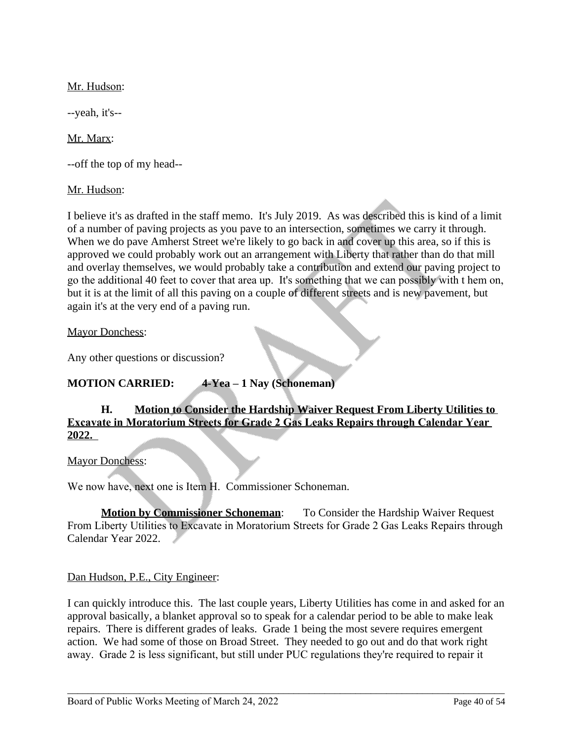Mr. Hudson:

--yeah, it's--

Mr. Marx:

--off the top of my head--

Mr. Hudson:

I believe it's as drafted in the staff memo. It's July 2019. As was described this is kind of a limit of a number of paving projects as you pave to an intersection, sometimes we carry it through. When we do pave Amherst Street we're likely to go back in and cover up this area, so if this is approved we could probably work out an arrangement with Liberty that rather than do that mill and overlay themselves, we would probably take a contribution and extend our paving project to go the additional 40 feet to cover that area up. It's something that we can possibly with t hem on, but it is at the limit of all this paving on a couple of different streets and is new pavement, but again it's at the very end of a paving run.

Mayor Donchess:

Any other questions or discussion?

# **MOTION CARRIED: 4-Yea – 1 Nay (Schoneman)**

# **H. Motion to Consider the Hardship Waiver Request From Liberty Utilities to Excavate in Moratorium Streets for Grade 2 Gas Leaks Repairs through Calendar Year 2022.**

Mayor Donchess:

We now have, next one is Item H. Commissioner Schoneman.

**Motion by Commissioner Schoneman**: To Consider the Hardship Waiver Request From Liberty Utilities to Excavate in Moratorium Streets for Grade 2 Gas Leaks Repairs through Calendar Year 2022.

# Dan Hudson, P.E., City Engineer:

I can quickly introduce this. The last couple years, Liberty Utilities has come in and asked for an approval basically, a blanket approval so to speak for a calendar period to be able to make leak repairs. There is different grades of leaks. Grade 1 being the most severe requires emergent action. We had some of those on Broad Street. They needed to go out and do that work right away. Grade 2 is less significant, but still under PUC regulations they're required to repair it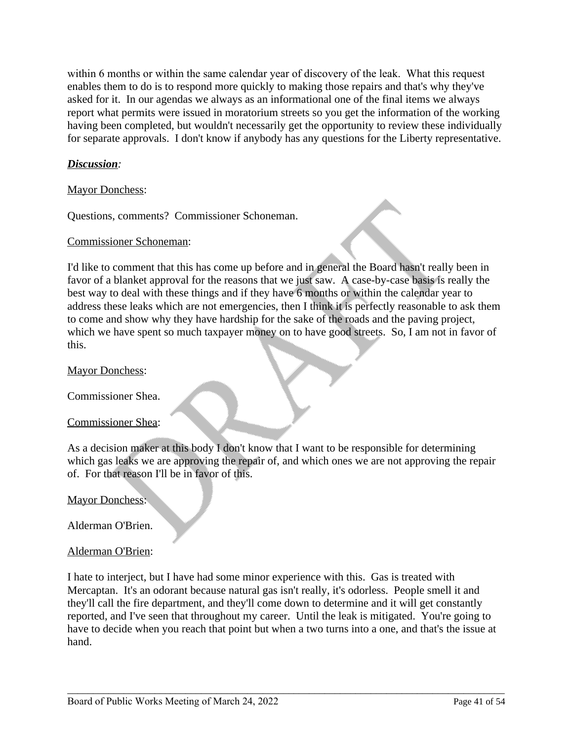within 6 months or within the same calendar year of discovery of the leak. What this request enables them to do is to respond more quickly to making those repairs and that's why they've asked for it. In our agendas we always as an informational one of the final items we always report what permits were issued in moratorium streets so you get the information of the working having been completed, but wouldn't necessarily get the opportunity to review these individually for separate approvals. I don't know if anybody has any questions for the Liberty representative.

# *Discussion:*

Mayor Donchess:

Questions, comments? Commissioner Schoneman.

#### Commissioner Schoneman:

I'd like to comment that this has come up before and in general the Board hasn't really been in favor of a blanket approval for the reasons that we just saw. A case-by-case basis is really the best way to deal with these things and if they have 6 months or within the calendar year to address these leaks which are not emergencies, then I think it is perfectly reasonable to ask them to come and show why they have hardship for the sake of the roads and the paving project, which we have spent so much taxpayer money on to have good streets. So, I am not in favor of this.

#### Mayor Donchess:

Commissioner Shea.

#### Commissioner Shea:

As a decision maker at this body I don't know that I want to be responsible for determining which gas leaks we are approving the repair of, and which ones we are not approving the repair of. For that reason I'll be in favor of this.

Mayor Donchess:

Alderman O'Brien.

### Alderman O'Brien:

I hate to interject, but I have had some minor experience with this. Gas is treated with Mercaptan. It's an odorant because natural gas isn't really, it's odorless. People smell it and they'll call the fire department, and they'll come down to determine and it will get constantly reported, and I've seen that throughout my career. Until the leak is mitigated. You're going to have to decide when you reach that point but when a two turns into a one, and that's the issue at hand.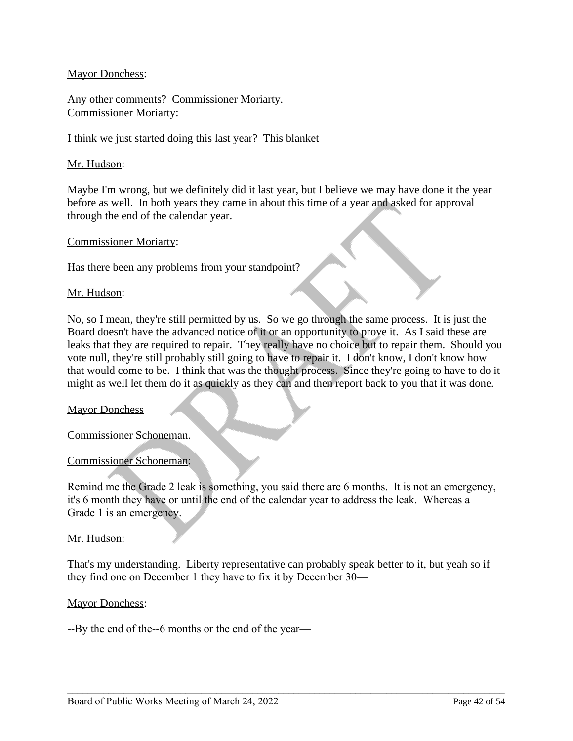## Mayor Donchess:

Any other comments? Commissioner Moriarty. Commissioner Moriarty:

I think we just started doing this last year? This blanket –

### Mr. Hudson:

Maybe I'm wrong, but we definitely did it last year, but I believe we may have done it the year before as well. In both years they came in about this time of a year and asked for approval through the end of the calendar year.

#### Commissioner Moriarty:

Has there been any problems from your standpoint?

#### Mr. Hudson:

No, so I mean, they're still permitted by us. So we go through the same process. It is just the Board doesn't have the advanced notice of it or an opportunity to prove it. As I said these are leaks that they are required to repair. They really have no choice but to repair them. Should you vote null, they're still probably still going to have to repair it. I don't know, I don't know how that would come to be. I think that was the thought process. Since they're going to have to do it might as well let them do it as quickly as they can and then report back to you that it was done.

### Mayor Donchess

Commissioner Schoneman.

### Commissioner Schoneman:

Remind me the Grade 2 leak is something, you said there are 6 months. It is not an emergency, it's 6 month they have or until the end of the calendar year to address the leak. Whereas a Grade 1 is an emergency.

#### Mr. Hudson:

That's my understanding. Liberty representative can probably speak better to it, but yeah so if they find one on December 1 they have to fix it by December 30—

\_\_\_\_\_\_\_\_\_\_\_\_\_\_\_\_\_\_\_\_\_\_\_\_\_\_\_\_\_\_\_\_\_\_\_\_\_\_\_\_\_\_\_\_\_\_\_\_\_\_\_\_\_\_\_\_\_\_\_\_\_\_\_\_\_\_\_\_\_\_\_\_\_\_\_\_\_\_\_\_\_\_\_\_\_

### Mayor Donchess:

--By the end of the--6 months or the end of the year—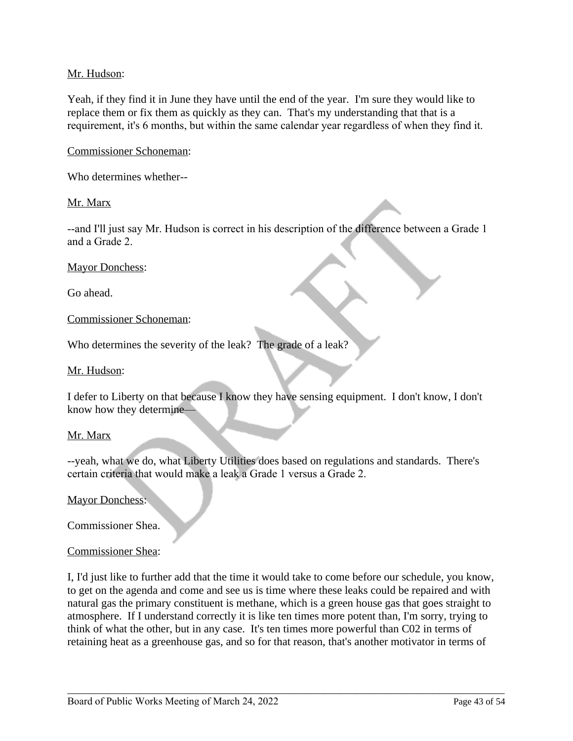## Mr. Hudson:

Yeah, if they find it in June they have until the end of the year. I'm sure they would like to replace them or fix them as quickly as they can. That's my understanding that that is a requirement, it's 6 months, but within the same calendar year regardless of when they find it.

Commissioner Schoneman:

Who determines whether--

Mr. Marx

--and I'll just say Mr. Hudson is correct in his description of the difference between a Grade 1 and a Grade 2.

Mayor Donchess:

Go ahead.

Commissioner Schoneman:

Who determines the severity of the leak? The grade of a leak?

Mr. Hudson:

I defer to Liberty on that because I know they have sensing equipment. I don't know, I don't know how they determine—

#### Mr. Marx

--yeah, what we do, what Liberty Utilities does based on regulations and standards. There's certain criteria that would make a leak a Grade 1 versus a Grade 2.

Mayor Donchess:

Commissioner Shea.

#### Commissioner Shea:

I, I'd just like to further add that the time it would take to come before our schedule, you know, to get on the agenda and come and see us is time where these leaks could be repaired and with natural gas the primary constituent is methane, which is a green house gas that goes straight to atmosphere. If I understand correctly it is like ten times more potent than, I'm sorry, trying to think of what the other, but in any case. It's ten times more powerful than C02 in terms of retaining heat as a greenhouse gas, and so for that reason, that's another motivator in terms of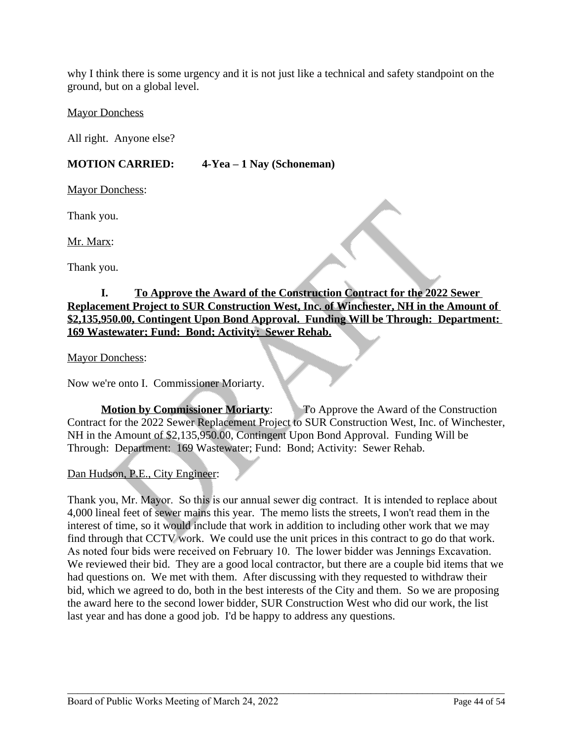why I think there is some urgency and it is not just like a technical and safety standpoint on the ground, but on a global level.

### Mayor Donchess

All right. Anyone else?

# **MOTION CARRIED: 4-Yea – 1 Nay (Schoneman)**

Mayor Donchess:

Thank you.

Mr. Marx:

Thank you.

# **I. To Approve the Award of the Construction Contract for the 2022 Sewer Replacement Project to SUR Construction West, Inc. of Winchester, NH in the Amount of \$2,135,950.00, Contingent Upon Bond Approval. Funding Will be Through: Department: 169 Wastewater; Fund: Bond; Activity: Sewer Rehab.**

Mayor Donchess:

Now we're onto I. Commissioner Moriarty.

**Motion by Commissioner Moriarty:** To Approve the Award of the Construction Contract for the 2022 Sewer Replacement Project to SUR Construction West, Inc. of Winchester, NH in the Amount of \$2,135,950.00, Contingent Upon Bond Approval. Funding Will be Through: Department: 169 Wastewater; Fund: Bond; Activity: Sewer Rehab.

# Dan Hudson, P.E., City Engineer:

Thank you, Mr. Mayor. So this is our annual sewer dig contract. It is intended to replace about 4,000 lineal feet of sewer mains this year. The memo lists the streets, I won't read them in the interest of time, so it would include that work in addition to including other work that we may find through that CCTV work. We could use the unit prices in this contract to go do that work. As noted four bids were received on February 10. The lower bidder was Jennings Excavation. We reviewed their bid. They are a good local contractor, but there are a couple bid items that we had questions on. We met with them. After discussing with they requested to withdraw their bid, which we agreed to do, both in the best interests of the City and them. So we are proposing the award here to the second lower bidder, SUR Construction West who did our work, the list last year and has done a good job. I'd be happy to address any questions.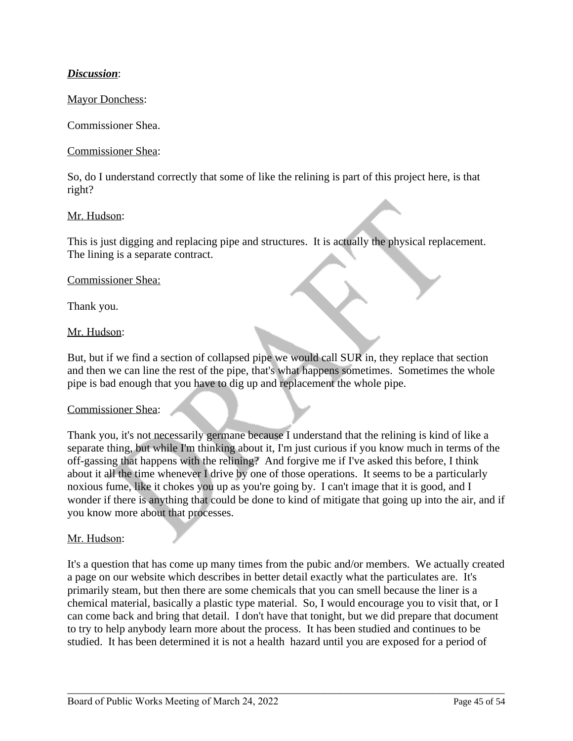# *Discussion*:

### Mayor Donchess:

Commissioner Shea.

#### Commissioner Shea:

So, do I understand correctly that some of like the relining is part of this project here, is that right?

#### Mr. Hudson:

This is just digging and replacing pipe and structures. It is actually the physical replacement. The lining is a separate contract.

#### Commissioner Shea:

Thank you.

#### Mr. Hudson:

But, but if we find a section of collapsed pipe we would call SUR in, they replace that section and then we can line the rest of the pipe, that's what happens sometimes. Sometimes the whole pipe is bad enough that you have to dig up and replacement the whole pipe.

#### Commissioner Shea:

Thank you, it's not necessarily germane because I understand that the relining is kind of like a separate thing, but while I'm thinking about it, I'm just curious if you know much in terms of the off-gassing that happens with the relining? And forgive me if I've asked this before, I think about it all the time whenever I drive by one of those operations. It seems to be a particularly noxious fume, like it chokes you up as you're going by. I can't image that it is good, and I wonder if there is anything that could be done to kind of mitigate that going up into the air, and if you know more about that processes.

### Mr. Hudson:

It's a question that has come up many times from the pubic and/or members. We actually created a page on our website which describes in better detail exactly what the particulates are. It's primarily steam, but then there are some chemicals that you can smell because the liner is a chemical material, basically a plastic type material. So, I would encourage you to visit that, or I can come back and bring that detail. I don't have that tonight, but we did prepare that document to try to help anybody learn more about the process. It has been studied and continues to be studied. It has been determined it is not a health hazard until you are exposed for a period of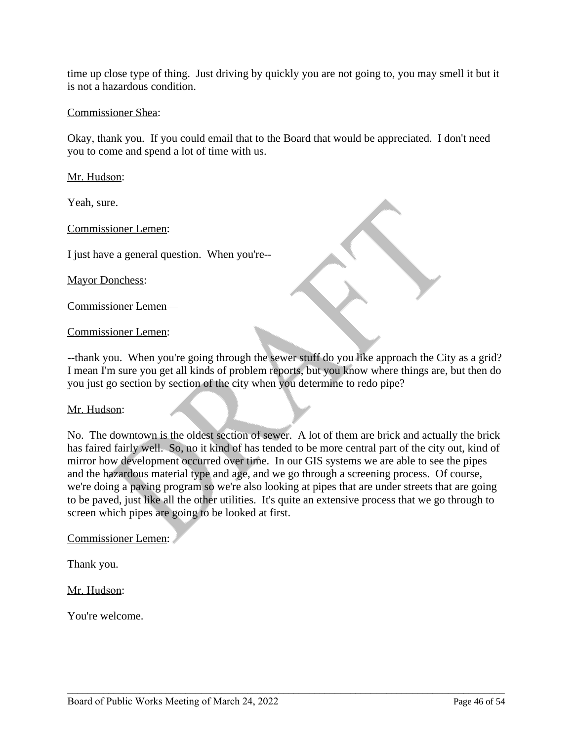time up close type of thing. Just driving by quickly you are not going to, you may smell it but it is not a hazardous condition.

### Commissioner Shea:

Okay, thank you. If you could email that to the Board that would be appreciated. I don't need you to come and spend a lot of time with us.

Mr. Hudson:

Yeah, sure.

Commissioner Lemen:

I just have a general question. When you're--

Mayor Donchess:

Commissioner Lemen—

Commissioner Lemen:

--thank you. When you're going through the sewer stuff do you like approach the City as a grid? I mean I'm sure you get all kinds of problem reports, but you know where things are, but then do you just go section by section of the city when you determine to redo pipe?

### Mr. Hudson:

No. The downtown is the oldest section of sewer. A lot of them are brick and actually the brick has faired fairly well. So, no it kind of has tended to be more central part of the city out, kind of mirror how development occurred over time. In our GIS systems we are able to see the pipes and the hazardous material type and age, and we go through a screening process. Of course, we're doing a paving program so we're also looking at pipes that are under streets that are going to be paved, just like all the other utilities. It's quite an extensive process that we go through to screen which pipes are going to be looked at first.

\_\_\_\_\_\_\_\_\_\_\_\_\_\_\_\_\_\_\_\_\_\_\_\_\_\_\_\_\_\_\_\_\_\_\_\_\_\_\_\_\_\_\_\_\_\_\_\_\_\_\_\_\_\_\_\_\_\_\_\_\_\_\_\_\_\_\_\_\_\_\_\_\_\_\_\_\_\_\_\_\_\_\_\_\_

Commissioner Lemen:

Thank you.

Mr. Hudson:

You're welcome.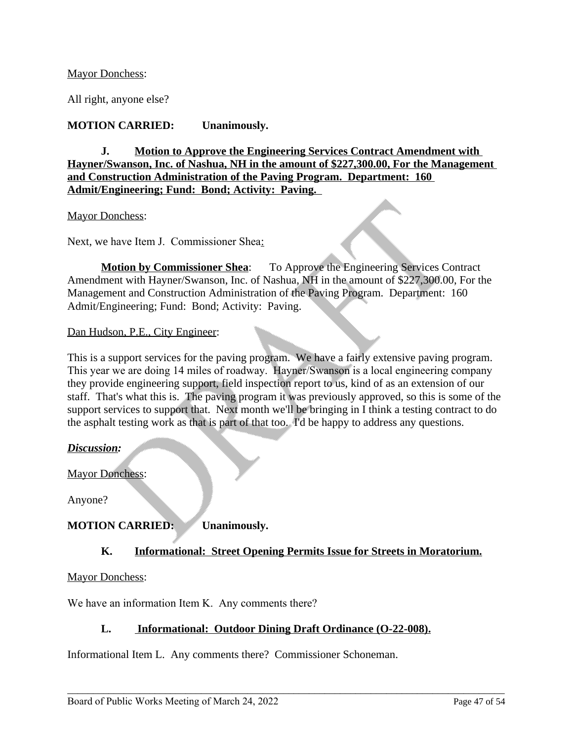### Mayor Donchess:

All right, anyone else?

# **MOTION CARRIED: Unanimously.**

**J. Motion to Approve the Engineering Services Contract Amendment with Hayner/Swanson, Inc. of Nashua, NH in the amount of \$227,300.00, For the Management and Construction Administration of the Paving Program. Department: 160 Admit/Engineering; Fund: Bond; Activity: Paving.** 

#### Mayor Donchess:

Next, we have Item J. Commissioner Shea:

**Motion by Commissioner Shea:** To Approve the Engineering Services Contract Amendment with Hayner/Swanson, Inc. of Nashua, NH in the amount of \$227,300.00, For the Management and Construction Administration of the Paving Program. Department: 160 Admit/Engineering; Fund: Bond; Activity: Paving.

### Dan Hudson, P.E., City Engineer:

This is a support services for the paving program. We have a fairly extensive paving program. This year we are doing 14 miles of roadway. Hayner/Swanson is a local engineering company they provide engineering support, field inspection report to us, kind of as an extension of our staff. That's what this is. The paving program it was previously approved, so this is some of the support services to support that. Next month we'll be bringing in I think a testing contract to do the asphalt testing work as that is part of that too. I'd be happy to address any questions.

### *Discussion:*

Mayor Donchess:

Anyone?

# **MOTION CARRIED: Unanimously.**

### **K. Informational: Street Opening Permits Issue for Streets in Moratorium.**

Mayor Donchess:

We have an information Item K. Any comments there?

### **L. Informational: Outdoor Dining Draft Ordinance (O-22-008).**

\_\_\_\_\_\_\_\_\_\_\_\_\_\_\_\_\_\_\_\_\_\_\_\_\_\_\_\_\_\_\_\_\_\_\_\_\_\_\_\_\_\_\_\_\_\_\_\_\_\_\_\_\_\_\_\_\_\_\_\_\_\_\_\_\_\_\_\_\_\_\_\_\_\_\_\_\_\_\_\_\_\_\_\_\_

Informational Item L. Any comments there? Commissioner Schoneman.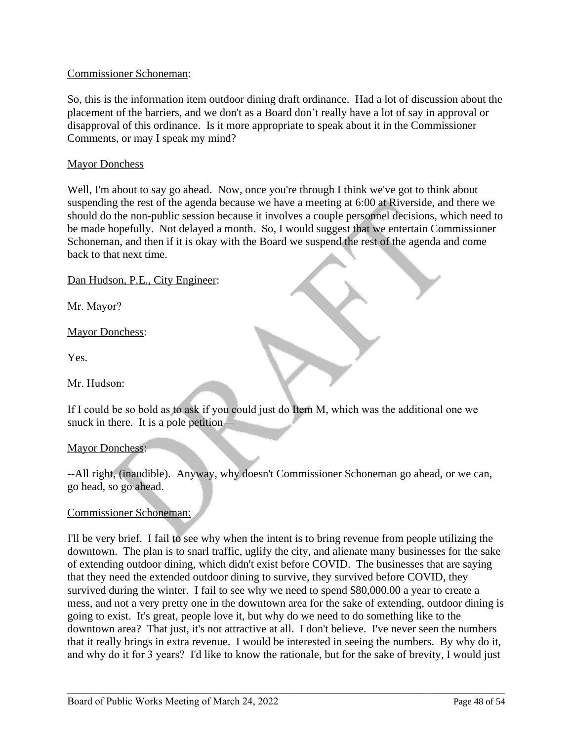## Commissioner Schoneman:

So, this is the information item outdoor dining draft ordinance. Had a lot of discussion about the placement of the barriers, and we don't as a Board don't really have a lot of say in approval or disapproval of this ordinance. Is it more appropriate to speak about it in the Commissioner Comments, or may I speak my mind?

### **Mayor Donchess**

Well, I'm about to say go ahead. Now, once you're through I think we've got to think about suspending the rest of the agenda because we have a meeting at 6:00 at Riverside, and there we should do the non-public session because it involves a couple personnel decisions, which need to be made hopefully. Not delayed a month. So, I would suggest that we entertain Commissioner Schoneman, and then if it is okay with the Board we suspend the rest of the agenda and come back to that next time.

## Dan Hudson, P.E., City Engineer:

Mr. Mayor?

## Mayor Donchess:

Yes.

### Mr. Hudson:

If I could be so bold as to ask if you could just do Item M, which was the additional one we snuck in there. It is a pole petition—

### Mayor Donchess:

--All right, (inaudible). Anyway, why doesn't Commissioner Schoneman go ahead, or we can, go head, so go ahead.

### Commissioner Schoneman:

I'll be very brief. I fail to see why when the intent is to bring revenue from people utilizing the downtown. The plan is to snarl traffic, uglify the city, and alienate many businesses for the sake of extending outdoor dining, which didn't exist before COVID. The businesses that are saying that they need the extended outdoor dining to survive, they survived before COVID, they survived during the winter. I fail to see why we need to spend \$80,000.00 a year to create a mess, and not a very pretty one in the downtown area for the sake of extending, outdoor dining is going to exist. It's great, people love it, but why do we need to do something like to the downtown area? That just, it's not attractive at all. I don't believe. I've never seen the numbers that it really brings in extra revenue. I would be interested in seeing the numbers. By why do it, and why do it for 3 years? I'd like to know the rationale, but for the sake of brevity, I would just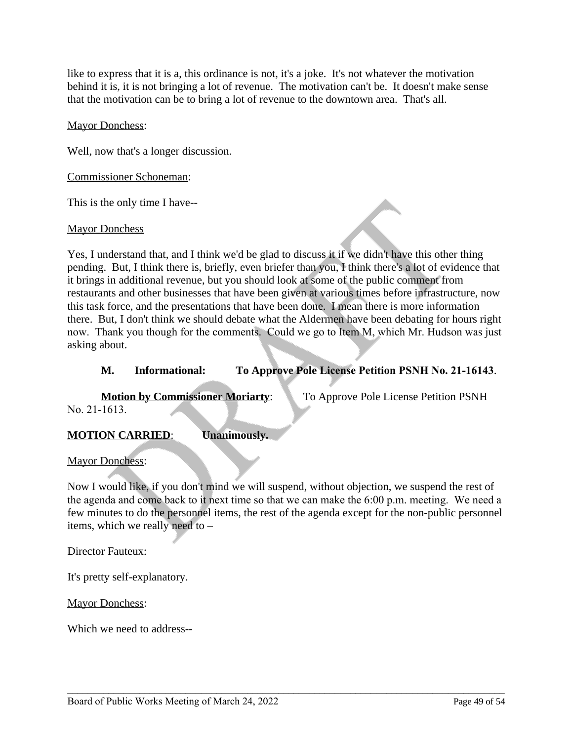like to express that it is a, this ordinance is not, it's a joke. It's not whatever the motivation behind it is, it is not bringing a lot of revenue. The motivation can't be. It doesn't make sense that the motivation can be to bring a lot of revenue to the downtown area. That's all.

### Mayor Donchess:

Well, now that's a longer discussion.

### Commissioner Schoneman:

This is the only time I have--

### Mayor Donchess

Yes, I understand that, and I think we'd be glad to discuss it if we didn't have this other thing pending. But, I think there is, briefly, even briefer than you, I think there's a lot of evidence that it brings in additional revenue, but you should look at some of the public comment from restaurants and other businesses that have been given at various times before infrastructure, now this task force, and the presentations that have been done. I mean there is more information there. But, I don't think we should debate what the Aldermen have been debating for hours right now. Thank you though for the comments. Could we go to Item M, which Mr. Hudson was just asking about.

# **M. Informational: To Approve Pole License Petition PSNH No. 21-16143**.

No. 21-1613.

**Motion by Commissioner Moriarty:** To Approve Pole License Petition PSNH

# **MOTION CARRIED**: **Unanimously.**

Mayor Donchess:

Now I would like, if you don't mind we will suspend, without objection, we suspend the rest of the agenda and come back to it next time so that we can make the 6:00 p.m. meeting. We need a few minutes to do the personnel items, the rest of the agenda except for the non-public personnel items, which we really need to –

\_\_\_\_\_\_\_\_\_\_\_\_\_\_\_\_\_\_\_\_\_\_\_\_\_\_\_\_\_\_\_\_\_\_\_\_\_\_\_\_\_\_\_\_\_\_\_\_\_\_\_\_\_\_\_\_\_\_\_\_\_\_\_\_\_\_\_\_\_\_\_\_\_\_\_\_\_\_\_\_\_\_\_\_\_

Director Fauteux:

It's pretty self-explanatory.

Mayor Donchess:

Which we need to address--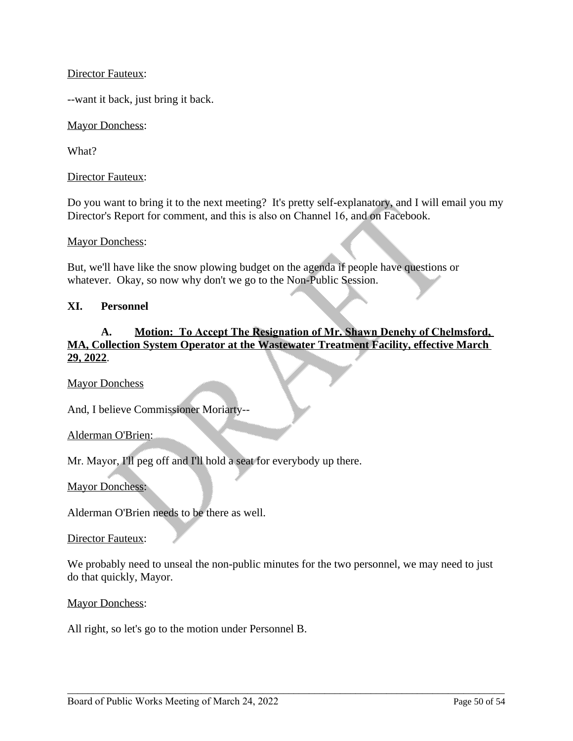## Director Fauteux:

--want it back, just bring it back.

Mayor Donchess:

What?

Director Fauteux:

Do you want to bring it to the next meeting? It's pretty self-explanatory, and I will email you my Director's Report for comment, and this is also on Channel 16, and on Facebook.

Mayor Donchess:

But, we'll have like the snow plowing budget on the agenda if people have questions or whatever. Okay, so now why don't we go to the Non-Public Session.

### **XI. Personnel**

# **A. Motion: To Accept The Resignation of Mr. Shawn Denehy of Chelmsford, MA, Collection System Operator at the Wastewater Treatment Facility, effective March 29, 2022**.

Mayor Donchess

And, I believe Commissioner Moriarty--

Alderman O'Brien:

Mr. Mayor, I'll peg off and I'll hold a seat for everybody up there.

Mayor Donchess:

Alderman O'Brien needs to be there as well.

Director Fauteux:

We probably need to unseal the non-public minutes for the two personnel, we may need to just do that quickly, Mayor.

\_\_\_\_\_\_\_\_\_\_\_\_\_\_\_\_\_\_\_\_\_\_\_\_\_\_\_\_\_\_\_\_\_\_\_\_\_\_\_\_\_\_\_\_\_\_\_\_\_\_\_\_\_\_\_\_\_\_\_\_\_\_\_\_\_\_\_\_\_\_\_\_\_\_\_\_\_\_\_\_\_\_\_\_\_

Mayor Donchess:

All right, so let's go to the motion under Personnel B.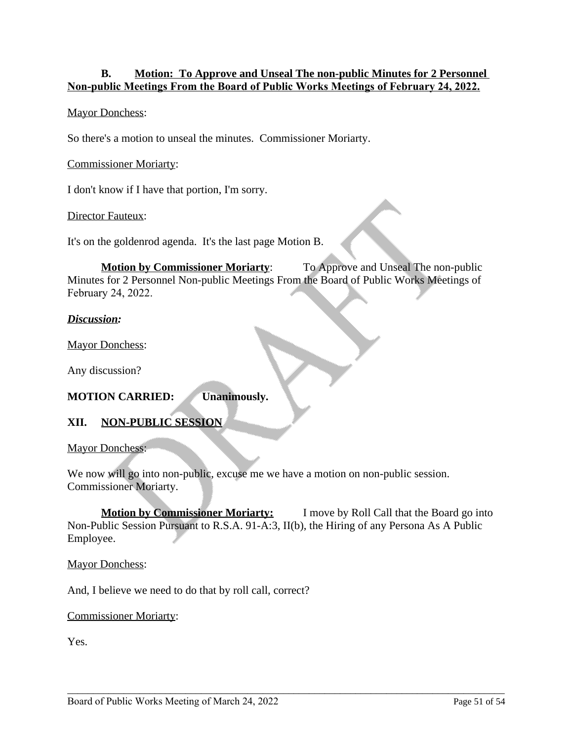# **B. Motion: To Approve and Unseal The non-public Minutes for 2 Personnel Non-public Meetings From the Board of Public Works Meetings of February 24, 2022.**

# Mayor Donchess:

So there's a motion to unseal the minutes. Commissioner Moriarty.

Commissioner Moriarty:

I don't know if I have that portion, I'm sorry.

**Director Fauteux:** 

It's on the goldenrod agenda. It's the last page Motion B.

**Motion by Commissioner Moriarty:** To Approve and Unseal The non-public Minutes for 2 Personnel Non-public Meetings From the Board of Public Works Meetings of February 24, 2022.

### *Discussion:*

Mayor Donchess:

Any discussion?

### **MOTION CARRIED: Unanimously.**

# **XII. NON-PUBLIC SESSION**

Mayor Donchess:

We now will go into non-public, excuse me we have a motion on non-public session. Commissioner Moriarty.

**Motion by Commissioner Moriarty:** I move by Roll Call that the Board go into Non-Public Session Pursuant to R.S.A. 91-A:3, II(b), the Hiring of any Persona As A Public Employee.

\_\_\_\_\_\_\_\_\_\_\_\_\_\_\_\_\_\_\_\_\_\_\_\_\_\_\_\_\_\_\_\_\_\_\_\_\_\_\_\_\_\_\_\_\_\_\_\_\_\_\_\_\_\_\_\_\_\_\_\_\_\_\_\_\_\_\_\_\_\_\_\_\_\_\_\_\_\_\_\_\_\_\_\_\_

Mayor Donchess:

And, I believe we need to do that by roll call, correct?

Commissioner Moriarty:

Yes.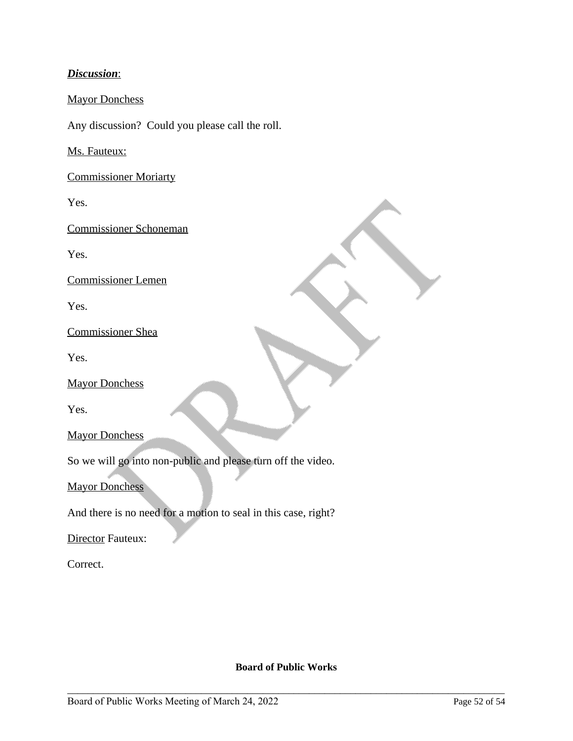# *Discussion*:

# Mayor Donchess

Any discussion? Could you please call the roll.

Ms. Fauteux:

Commissioner Moriarty

Yes.

Commissioner Schoneman

Yes.

Commissioner Lemen

Yes.

Commissioner Shea

Yes.

Mayor Donchess

Yes.

Mayor Donchess

So we will go into non-public and please turn off the video.

**Mayor Donchess** 

And there is no need for a motion to seal in this case, right?

**Director Fauteux:** 

Correct.

### **Board of Public Works**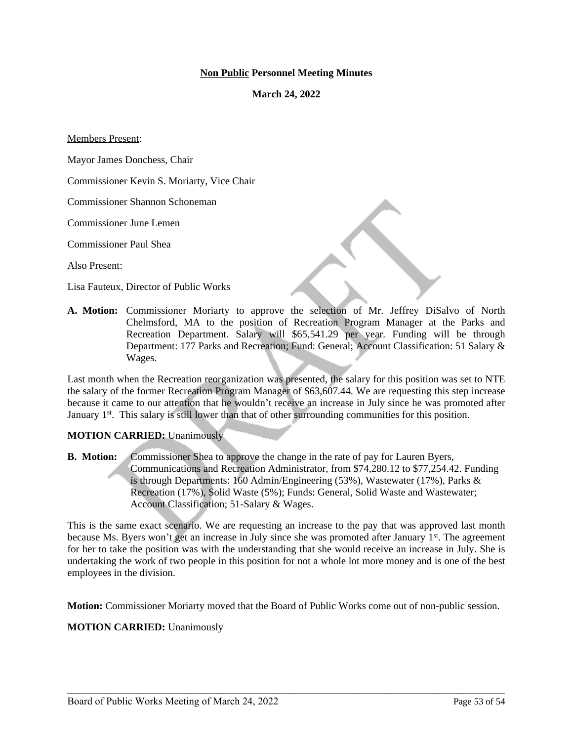#### **Non Public Personnel Meeting Minutes**

**March 24, 2022**

Members Present:

Mayor James Donchess, Chair

Commissioner Kevin S. Moriarty, Vice Chair

Commissioner Shannon Schoneman

Commissioner June Lemen

Commissioner Paul Shea

Also Present:

Lisa Fauteux, Director of Public Works

**A. Motion:** Commissioner Moriarty to approve the selection of Mr. Jeffrey DiSalvo of North Chelmsford, MA to the position of Recreation Program Manager at the Parks and Recreation Department. Salary will \$65,541.29 per year. Funding will be through Department: 177 Parks and Recreation; Fund: General; Account Classification: 51 Salary & Wages.

Last month when the Recreation reorganization was presented, the salary for this position was set to NTE the salary of the former Recreation Program Manager of \$63,607.44. We are requesting this step increase because it came to our attention that he wouldn't receive an increase in July since he was promoted after January 1<sup>st</sup>. This salary is still lower than that of other surrounding communities for this position.

#### **MOTION CARRIED:** Unanimously

**B. Motion:** Commissioner Shea to approve the change in the rate of pay for Lauren Byers, Communications and Recreation Administrator, from \$74,280.12 to \$77,254.42. Funding is through Departments: 160 Admin/Engineering (53%), Wastewater (17%), Parks & Recreation (17%), Solid Waste (5%); Funds: General, Solid Waste and Wastewater; Account Classification; 51-Salary & Wages.

This is the same exact scenario. We are requesting an increase to the pay that was approved last month because Ms. Byers won't get an increase in July since she was promoted after January 1<sup>st</sup>. The agreement for her to take the position was with the understanding that she would receive an increase in July. She is undertaking the work of two people in this position for not a whole lot more money and is one of the best employees in the division.

**Motion:** Commissioner Moriarty moved that the Board of Public Works come out of non-public session.

\_\_\_\_\_\_\_\_\_\_\_\_\_\_\_\_\_\_\_\_\_\_\_\_\_\_\_\_\_\_\_\_\_\_\_\_\_\_\_\_\_\_\_\_\_\_\_\_\_\_\_\_\_\_\_\_\_\_\_\_\_\_\_\_\_\_\_\_\_\_\_\_\_\_\_\_\_\_\_\_\_\_\_\_\_

#### **MOTION CARRIED:** Unanimously